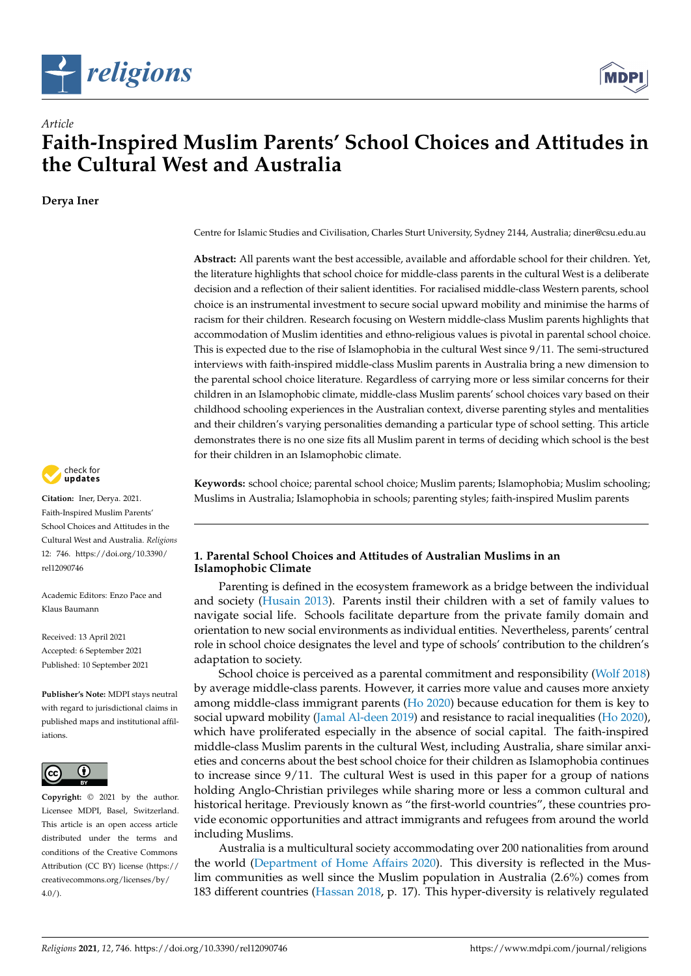



# *Article* **Faith-Inspired Muslim Parents' School Choices and Attitudes in the Cultural West and Australia**

**Derya Iner**



**Citation:** Iner, Derya. 2021. Faith-Inspired Muslim Parents' School Choices and Attitudes in the Cultural West and Australia. *Religions* 12: 746. [https://doi.org/10.3390/](https://doi.org/10.3390/rel12090746) [rel12090746](https://doi.org/10.3390/rel12090746)

Academic Editors: Enzo Pace and Klaus Baumann

Received: 13 April 2021 Accepted: 6 September 2021 Published: 10 September 2021

**Publisher's Note:** MDPI stays neutral with regard to jurisdictional claims in published maps and institutional affiliations.



**Copyright:** © 2021 by the author. Licensee MDPI, Basel, Switzerland. This article is an open access article distributed under the terms and conditions of the Creative Commons Attribution (CC BY) license (https:/[/](https://creativecommons.org/licenses/by/4.0/) [creativecommons.org/licenses/by/](https://creativecommons.org/licenses/by/4.0/)  $4.0/$ ).

Centre for Islamic Studies and Civilisation, Charles Sturt University, Sydney 2144, Australia; diner@csu.edu.au

**Abstract:** All parents want the best accessible, available and affordable school for their children. Yet, the literature highlights that school choice for middle-class parents in the cultural West is a deliberate decision and a reflection of their salient identities. For racialised middle-class Western parents, school choice is an instrumental investment to secure social upward mobility and minimise the harms of racism for their children. Research focusing on Western middle-class Muslim parents highlights that accommodation of Muslim identities and ethno-religious values is pivotal in parental school choice. This is expected due to the rise of Islamophobia in the cultural West since 9/11. The semi-structured interviews with faith-inspired middle-class Muslim parents in Australia bring a new dimension to the parental school choice literature. Regardless of carrying more or less similar concerns for their children in an Islamophobic climate, middle-class Muslim parents' school choices vary based on their childhood schooling experiences in the Australian context, diverse parenting styles and mentalities and their children's varying personalities demanding a particular type of school setting. This article demonstrates there is no one size fits all Muslim parent in terms of deciding which school is the best for their children in an Islamophobic climate.

**Keywords:** school choice; parental school choice; Muslim parents; Islamophobia; Muslim schooling; Muslims in Australia; Islamophobia in schools; parenting styles; faith-inspired Muslim parents

## **1. Parental School Choices and Attitudes of Australian Muslims in an Islamophobic Climate**

Parenting is defined in the ecosystem framework as a bridge between the individual and society [\(Husain](#page-21-0) [2013\)](#page-21-0). Parents instil their children with a set of family values to navigate social life. Schools facilitate departure from the private family domain and orientation to new social environments as individual entities. Nevertheless, parents' central role in school choice designates the level and type of schools' contribution to the children's adaptation to society.

School choice is perceived as a parental commitment and responsibility [\(Wolf](#page-22-0) [2018\)](#page-22-0) by average middle-class parents. However, it carries more value and causes more anxiety among middle-class immigrant parents [\(Ho](#page-21-1) [2020\)](#page-21-1) because education for them is key to social upward mobility [\(Jamal Al-deen](#page-21-2) [2019\)](#page-21-2) and resistance to racial inequalities [\(Ho](#page-21-1) [2020\)](#page-21-1), which have proliferated especially in the absence of social capital. The faith-inspired middle-class Muslim parents in the cultural West, including Australia, share similar anxieties and concerns about the best school choice for their children as Islamophobia continues to increase since 9/11. The cultural West is used in this paper for a group of nations holding Anglo-Christian privileges while sharing more or less a common cultural and historical heritage. Previously known as "the first-world countries", these countries provide economic opportunities and attract immigrants and refugees from around the world including Muslims.

Australia is a multicultural society accommodating over 200 nationalities from around the world [\(Department of Home Affairs](#page-21-3) [2020\)](#page-21-3). This diversity is reflected in the Muslim communities as well since the Muslim population in Australia (2.6%) comes from 183 different countries [\(Hassan](#page-21-4) [2018,](#page-21-4) p. 17). This hyper-diversity is relatively regulated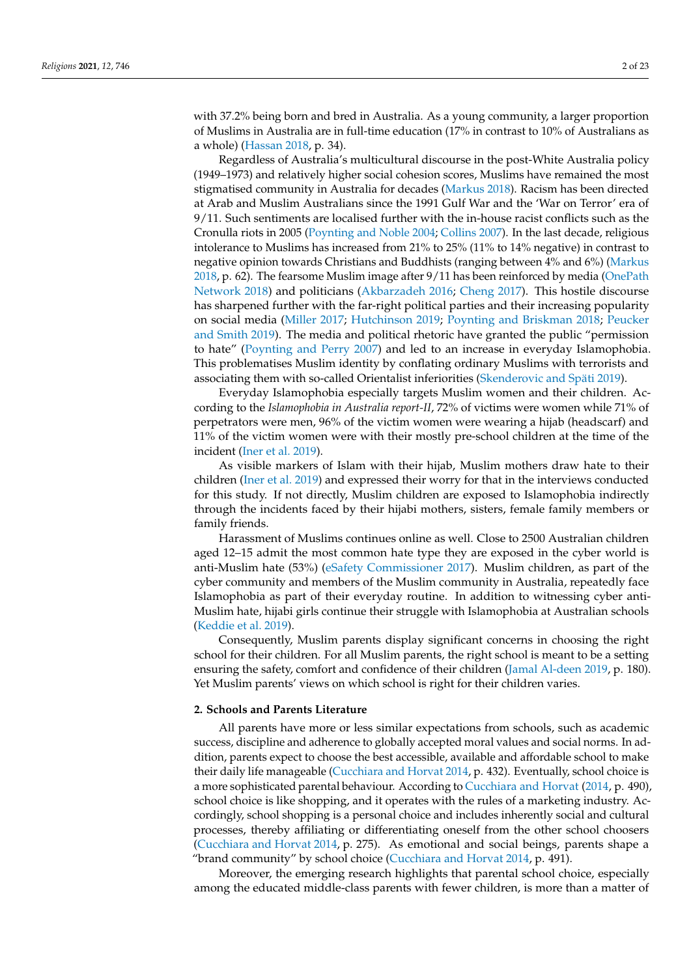with 37.2% being born and bred in Australia. As a young community, a larger proportion of Muslims in Australia are in full-time education (17% in contrast to 10% of Australians as a whole) [\(Hassan](#page-21-4) [2018,](#page-21-4) p. 34).

Regardless of Australia's multicultural discourse in the post-White Australia policy (1949–1973) and relatively higher social cohesion scores, Muslims have remained the most stigmatised community in Australia for decades [\(Markus](#page-21-5) [2018\)](#page-21-5). Racism has been directed at Arab and Muslim Australians since the 1991 Gulf War and the 'War on Terror' era of 9/11. Such sentiments are localised further with the in-house racist conflicts such as the Cronulla riots in 2005 [\(Poynting and Noble](#page-22-1) [2004;](#page-22-1) [Collins](#page-21-6) [2007\)](#page-21-6). In the last decade, religious intolerance to Muslims has increased from 21% to 25% (11% to 14% negative) in contrast to negative opinion towards Christians and Buddhists (ranging between 4% and 6%) [\(Markus](#page-21-5) [2018,](#page-21-5) p. 62). The fearsome Muslim image after 9/11 has been reinforced by media [\(OnePath](#page-22-2) [Network](#page-22-2) [2018\)](#page-22-2) and politicians [\(Akbarzadeh](#page-20-0) [2016;](#page-20-0) [Cheng](#page-21-7) [2017\)](#page-21-7). This hostile discourse has sharpened further with the far-right political parties and their increasing popularity on social media [\(Miller](#page-21-8) [2017;](#page-21-8) [Hutchinson](#page-21-9) [2019;](#page-21-9) [Poynting and Briskman](#page-22-3) [2018;](#page-22-3) [Peucker](#page-22-4) [and Smith](#page-22-4) [2019\)](#page-22-4). The media and political rhetoric have granted the public "permission to hate" [\(Poynting and Perry](#page-22-5) [2007\)](#page-22-5) and led to an increase in everyday Islamophobia. This problematises Muslim identity by conflating ordinary Muslims with terrorists and associating them with so-called Orientalist inferiorities [\(Skenderovic and Späti](#page-21-10) [2019\)](#page-21-10).

Everyday Islamophobia especially targets Muslim women and their children. According to the *Islamophobia in Australia report-II*, 72% of victims were women while 71% of perpetrators were men, 96% of the victim women were wearing a hijab (headscarf) and 11% of the victim women were with their mostly pre-school children at the time of the incident [\(Iner et al.](#page-21-11) [2019\)](#page-21-11).

As visible markers of Islam with their hijab, Muslim mothers draw hate to their children [\(Iner et al.](#page-21-11) [2019\)](#page-21-11) and expressed their worry for that in the interviews conducted for this study. If not directly, Muslim children are exposed to Islamophobia indirectly through the incidents faced by their hijabi mothers, sisters, female family members or family friends.

Harassment of Muslims continues online as well. Close to 2500 Australian children aged 12–15 admit the most common hate type they are exposed in the cyber world is anti-Muslim hate (53%) [\(eSafety Commissioner](#page-21-12) [2017\)](#page-21-12). Muslim children, as part of the cyber community and members of the Muslim community in Australia, repeatedly face Islamophobia as part of their everyday routine. In addition to witnessing cyber anti-Muslim hate, hijabi girls continue their struggle with Islamophobia at Australian schools [\(Keddie et al.](#page-21-13) [2019\)](#page-21-13).

Consequently, Muslim parents display significant concerns in choosing the right school for their children. For all Muslim parents, the right school is meant to be a setting ensuring the safety, comfort and confidence of their children [\(Jamal Al-deen](#page-21-2) [2019,](#page-21-2) p. 180). Yet Muslim parents' views on which school is right for their children varies.

## **2. Schools and Parents Literature**

All parents have more or less similar expectations from schools, such as academic success, discipline and adherence to globally accepted moral values and social norms. In addition, parents expect to choose the best accessible, available and affordable school to make their daily life manageable [\(Cucchiara and Horvat](#page-21-14) [2014,](#page-21-14) p. 432). Eventually, school choice is a more sophisticated parental behaviour. According to [Cucchiara and Horvat](#page-21-14) [\(2014,](#page-21-14) p. 490), school choice is like shopping, and it operates with the rules of a marketing industry. Accordingly, school shopping is a personal choice and includes inherently social and cultural processes, thereby affiliating or differentiating oneself from the other school choosers [\(Cucchiara and Horvat](#page-21-14) [2014,](#page-21-14) p. 275). As emotional and social beings, parents shape a "brand community" by school choice [\(Cucchiara and Horvat](#page-21-14) [2014,](#page-21-14) p. 491).

Moreover, the emerging research highlights that parental school choice, especially among the educated middle-class parents with fewer children, is more than a matter of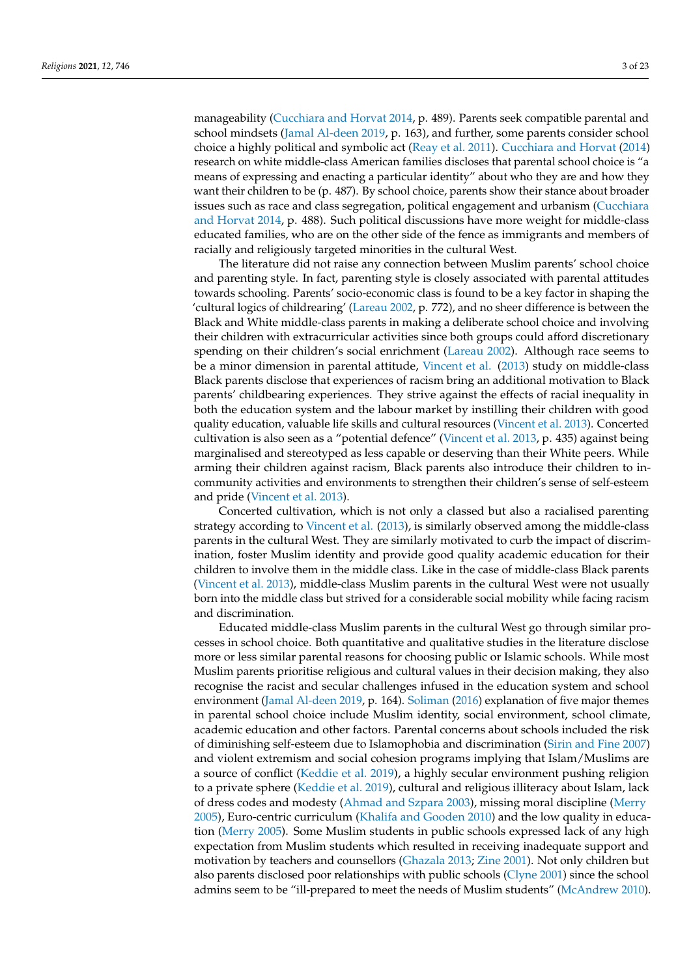manageability [\(Cucchiara and Horvat](#page-21-14) [2014,](#page-21-14) p. 489). Parents seek compatible parental and school mindsets [\(Jamal Al-deen](#page-21-2) [2019,](#page-21-2) p. 163), and further, some parents consider school choice a highly political and symbolic act [\(Reay et al.](#page-22-6) [2011\)](#page-22-6). [Cucchiara and Horvat](#page-21-14) [\(2014\)](#page-21-14) research on white middle-class American families discloses that parental school choice is "a means of expressing and enacting a particular identity" about who they are and how they want their children to be (p. 487). By school choice, parents show their stance about broader issues such as race and class segregation, political engagement and urbanism [\(Cucchiara](#page-21-14) [and Horvat](#page-21-14) [2014,](#page-21-14) p. 488). Such political discussions have more weight for middle-class educated families, who are on the other side of the fence as immigrants and members of racially and religiously targeted minorities in the cultural West.

The literature did not raise any connection between Muslim parents' school choice and parenting style. In fact, parenting style is closely associated with parental attitudes towards schooling. Parents' socio-economic class is found to be a key factor in shaping the 'cultural logics of childrearing' [\(Lareau](#page-21-15) [2002,](#page-21-15) p. 772), and no sheer difference is between the Black and White middle-class parents in making a deliberate school choice and involving their children with extracurricular activities since both groups could afford discretionary spending on their children's social enrichment [\(Lareau](#page-21-15) [2002\)](#page-21-15). Although race seems to be a minor dimension in parental attitude, [Vincent et al.](#page-22-7) [\(2013\)](#page-22-7) study on middle-class Black parents disclose that experiences of racism bring an additional motivation to Black parents' childbearing experiences. They strive against the effects of racial inequality in both the education system and the labour market by instilling their children with good quality education, valuable life skills and cultural resources [\(Vincent et al.](#page-22-7) [2013\)](#page-22-7). Concerted cultivation is also seen as a "potential defence" [\(Vincent et al.](#page-22-7) [2013,](#page-22-7) p. 435) against being marginalised and stereotyped as less capable or deserving than their White peers. While arming their children against racism, Black parents also introduce their children to incommunity activities and environments to strengthen their children's sense of self-esteem and pride [\(Vincent et al.](#page-22-7) [2013\)](#page-22-7).

Concerted cultivation, which is not only a classed but also a racialised parenting strategy according to [Vincent et al.](#page-22-7) [\(2013\)](#page-22-7), is similarly observed among the middle-class parents in the cultural West. They are similarly motivated to curb the impact of discrimination, foster Muslim identity and provide good quality academic education for their children to involve them in the middle class. Like in the case of middle-class Black parents [\(Vincent et al.](#page-22-7) [2013\)](#page-22-7), middle-class Muslim parents in the cultural West were not usually born into the middle class but strived for a considerable social mobility while facing racism and discrimination.

Educated middle-class Muslim parents in the cultural West go through similar processes in school choice. Both quantitative and qualitative studies in the literature disclose more or less similar parental reasons for choosing public or Islamic schools. While most Muslim parents prioritise religious and cultural values in their decision making, they also recognise the racist and secular challenges infused in the education system and school environment [\(Jamal Al-deen](#page-21-2) [2019,](#page-21-2) p. 164). [Soliman](#page-22-8) [\(2016\)](#page-22-8) explanation of five major themes in parental school choice include Muslim identity, social environment, school climate, academic education and other factors. Parental concerns about schools included the risk of diminishing self-esteem due to Islamophobia and discrimination [\(Sirin and Fine](#page-22-9) [2007\)](#page-22-9) and violent extremism and social cohesion programs implying that Islam/Muslims are a source of conflict [\(Keddie et al.](#page-21-13) [2019\)](#page-21-13), a highly secular environment pushing religion to a private sphere [\(Keddie et al.](#page-21-13) [2019\)](#page-21-13), cultural and religious illiteracy about Islam, lack of dress codes and modesty [\(Ahmad and Szpara](#page-20-1) [2003\)](#page-20-1), missing moral discipline [\(Merry](#page-21-16) [2005\)](#page-21-16), Euro-centric curriculum [\(Khalifa and Gooden](#page-21-17) [2010\)](#page-21-17) and the low quality in education [\(Merry](#page-21-16) [2005\)](#page-21-16). Some Muslim students in public schools expressed lack of any high expectation from Muslim students which resulted in receiving inadequate support and motivation by teachers and counsellors [\(Ghazala](#page-21-18) [2013;](#page-21-18) [Zine](#page-22-10) [2001\)](#page-22-10). Not only children but also parents disclosed poor relationships with public schools [\(Clyne](#page-21-19) [2001\)](#page-21-19) since the school admins seem to be "ill-prepared to meet the needs of Muslim students" [\(McAndrew](#page-21-20) [2010\)](#page-21-20).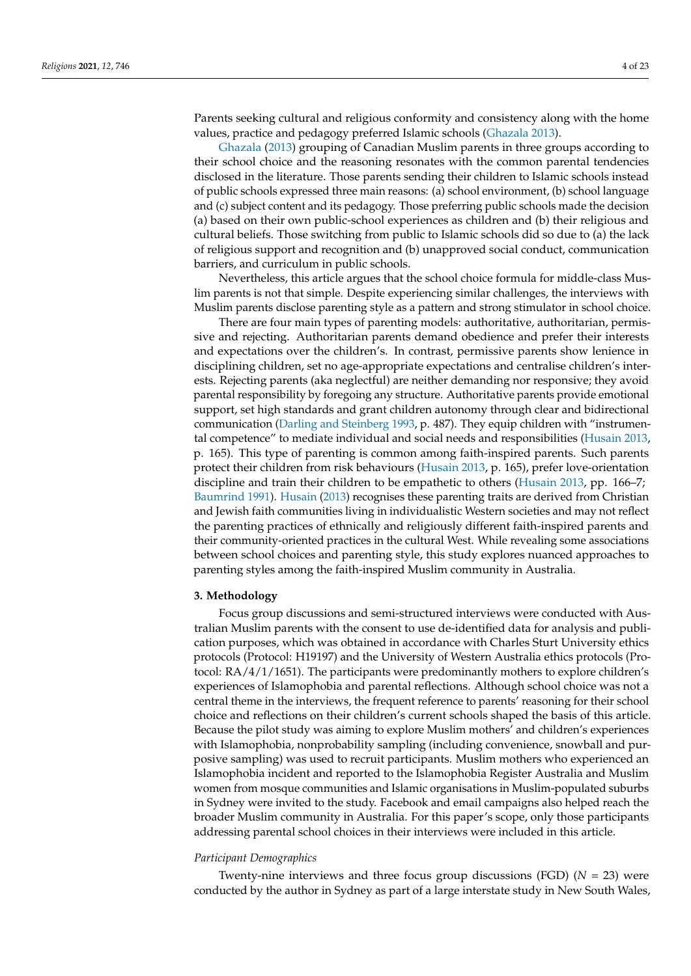Parents seeking cultural and religious conformity and consistency along with the home values, practice and pedagogy preferred Islamic schools [\(Ghazala](#page-21-18) [2013\)](#page-21-18).

[Ghazala](#page-21-18) [\(2013\)](#page-21-18) grouping of Canadian Muslim parents in three groups according to their school choice and the reasoning resonates with the common parental tendencies disclosed in the literature. Those parents sending their children to Islamic schools instead of public schools expressed three main reasons: (a) school environment, (b) school language and (c) subject content and its pedagogy. Those preferring public schools made the decision (a) based on their own public-school experiences as children and (b) their religious and cultural beliefs. Those switching from public to Islamic schools did so due to (a) the lack of religious support and recognition and (b) unapproved social conduct, communication barriers, and curriculum in public schools.

Nevertheless, this article argues that the school choice formula for middle-class Muslim parents is not that simple. Despite experiencing similar challenges, the interviews with Muslim parents disclose parenting style as a pattern and strong stimulator in school choice.

There are four main types of parenting models: authoritative, authoritarian, permissive and rejecting. Authoritarian parents demand obedience and prefer their interests and expectations over the children's. In contrast, permissive parents show lenience in disciplining children, set no age-appropriate expectations and centralise children's interests. Rejecting parents (aka neglectful) are neither demanding nor responsive; they avoid parental responsibility by foregoing any structure. Authoritative parents provide emotional support, set high standards and grant children autonomy through clear and bidirectional communication [\(Darling and Steinberg](#page-21-21) [1993,](#page-21-21) p. 487). They equip children with "instrumental competence" to mediate individual and social needs and responsibilities [\(Husain](#page-21-0) [2013,](#page-21-0) p. 165). This type of parenting is common among faith-inspired parents. Such parents protect their children from risk behaviours [\(Husain](#page-21-0) [2013,](#page-21-0) p. 165), prefer love-orientation discipline and train their children to be empathetic to others [\(Husain](#page-21-0) [2013,](#page-21-0) pp. 166–7; [Baumrind](#page-20-2) [1991\)](#page-20-2). [Husain](#page-21-0) [\(2013\)](#page-21-0) recognises these parenting traits are derived from Christian and Jewish faith communities living in individualistic Western societies and may not reflect the parenting practices of ethnically and religiously different faith-inspired parents and their community-oriented practices in the cultural West. While revealing some associations between school choices and parenting style, this study explores nuanced approaches to parenting styles among the faith-inspired Muslim community in Australia.

#### **3. Methodology**

Focus group discussions and semi-structured interviews were conducted with Australian Muslim parents with the consent to use de-identified data for analysis and publication purposes, which was obtained in accordance with Charles Sturt University ethics protocols (Protocol: H19197) and the University of Western Australia ethics protocols (Protocol: RA/4/1/1651). The participants were predominantly mothers to explore children's experiences of Islamophobia and parental reflections. Although school choice was not a central theme in the interviews, the frequent reference to parents' reasoning for their school choice and reflections on their children's current schools shaped the basis of this article. Because the pilot study was aiming to explore Muslim mothers' and children's experiences with Islamophobia, nonprobability sampling (including convenience, snowball and purposive sampling) was used to recruit participants. Muslim mothers who experienced an Islamophobia incident and reported to the Islamophobia Register Australia and Muslim women from mosque communities and Islamic organisations in Muslim-populated suburbs in Sydney were invited to the study. Facebook and email campaigns also helped reach the broader Muslim community in Australia. For this paper's scope, only those participants addressing parental school choices in their interviews were included in this article.

#### *Participant Demographics*

Twenty-nine interviews and three focus group discussions (FGD) (*N* = 23) were conducted by the author in Sydney as part of a large interstate study in New South Wales,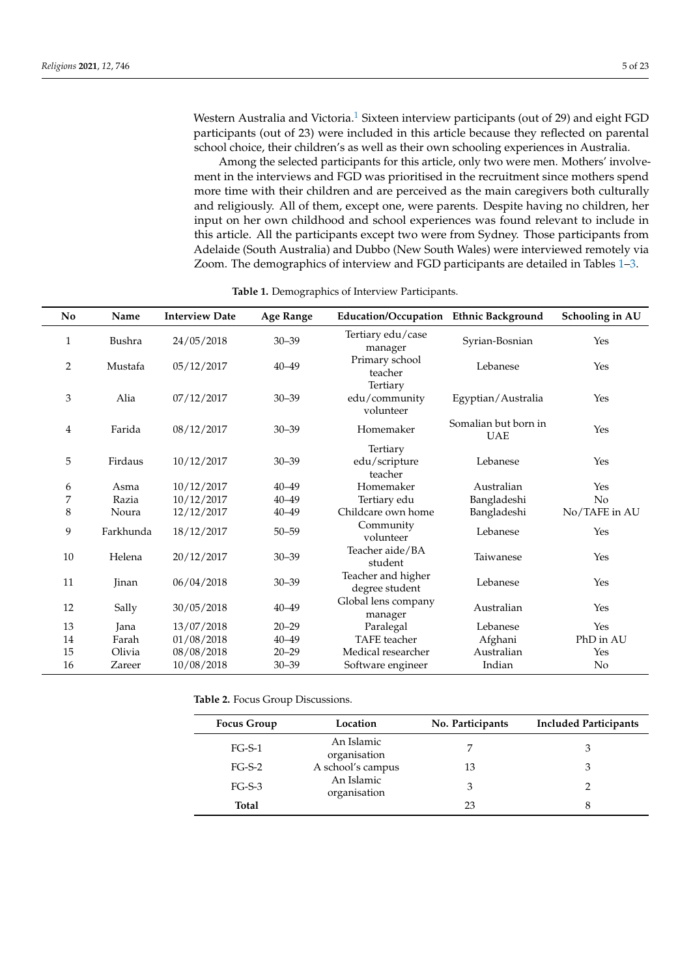<span id="page-4-1"></span>Western Australia and Victoria.<sup>[1](#page-20-3)</sup> Sixteen interview participants (out of 29) and eight FGD participants (out of 23) were included in this article because they reflected on parental school choice, their children's as well as their own schooling experiences in Australia.

Among the selected participants for this article, only two were men. Mothers' involvement in the interviews and FGD was prioritised in the recruitment since mothers spend more time with their children and are perceived as the main caregivers both culturally and religiously. All of them, except one, were parents. Despite having no children, her input on her own childhood and school experiences was found relevant to include in this article. All the participants except two were from Sydney. Those participants from Adelaide (South Australia) and Dubbo (New South Wales) were interviewed remotely via Zoom. The demographics of interview and FGD participants are detailed in Tables [1–](#page-4-0)[3.](#page-5-0)

<span id="page-4-0"></span>

| N <sub>0</sub> | Name          | <b>Interview Date</b> | <b>Age Range</b> | Education/Occupation Ethnic Background |                                    | Schooling in AU |
|----------------|---------------|-----------------------|------------------|----------------------------------------|------------------------------------|-----------------|
| 1              | <b>Bushra</b> | 24/05/2018            | $30 - 39$        | Tertiary edu/case<br>manager           | Syrian-Bosnian                     | Yes             |
| 2              | Mustafa       | 05/12/2017            | $40 - 49$        | Primary school<br>teacher              | Lebanese                           | Yes             |
| 3              | Alia          | 07/12/2017            | $30 - 39$        | Tertiary<br>edu/community<br>volunteer | Egyptian/Australia                 | Yes             |
| 4              | Farida        | 08/12/2017            | $30 - 39$        | Homemaker                              | Somalian but born in<br><b>UAE</b> | Yes             |
| 5              | Firdaus       | 10/12/2017            | $30 - 39$        | Tertiary<br>edu/scripture<br>teacher   | Lebanese                           | Yes             |
| 6              | Asma          | 10/12/2017            | $40 - 49$        | Homemaker                              | Australian                         | Yes             |
| 7              | Razia         | 10/12/2017            | $40 - 49$        | Tertiary edu                           | Bangladeshi                        | No              |
| 8              | Noura         | 12/12/2017            | $40 - 49$        | Childcare own home                     | Bangladeshi                        | No/TAFE in AU   |
| 9              | Farkhunda     | 18/12/2017            | $50 - 59$        | Community<br>volunteer                 | Lebanese                           | Yes             |
| 10             | Helena        | 20/12/2017            | $30 - 39$        | Teacher aide/BA<br>student             | Taiwanese                          | Yes             |
| 11             | Jinan         | 06/04/2018            | $30 - 39$        | Teacher and higher<br>degree student   | Lebanese                           | Yes             |
| 12             | Sally         | 30/05/2018            | $40 - 49$        | Global lens company<br>manager         | Australian                         | Yes             |
| 13             | Jana          | 13/07/2018            | $20 - 29$        | Paralegal                              | Lebanese                           | Yes             |
| 14             | Farah         | 01/08/2018            | $40 - 49$        | <b>TAFE</b> teacher                    | Afghani                            | PhD in AU       |
| 15             | Olivia        | 08/08/2018            | $20 - 29$        | Medical researcher                     | Australian                         | Yes             |
| 16             | Zareer        | 10/08/2018            | $30 - 39$        | Software engineer                      | Indian                             | No              |

#### **Table 1.** Demographics of Interview Participants.

**Table 2.** Focus Group Discussions.

| <b>Focus Group</b> | Location                   | No. Participants | <b>Included Participants</b> |
|--------------------|----------------------------|------------------|------------------------------|
| $FG-S-1$           | An Islamic<br>organisation |                  |                              |
| $FG-S-2$           | A school's campus          | 13               |                              |
| $FG-S-3$           | An Islamic<br>organisation |                  |                              |
| Total              |                            | 23               | 8                            |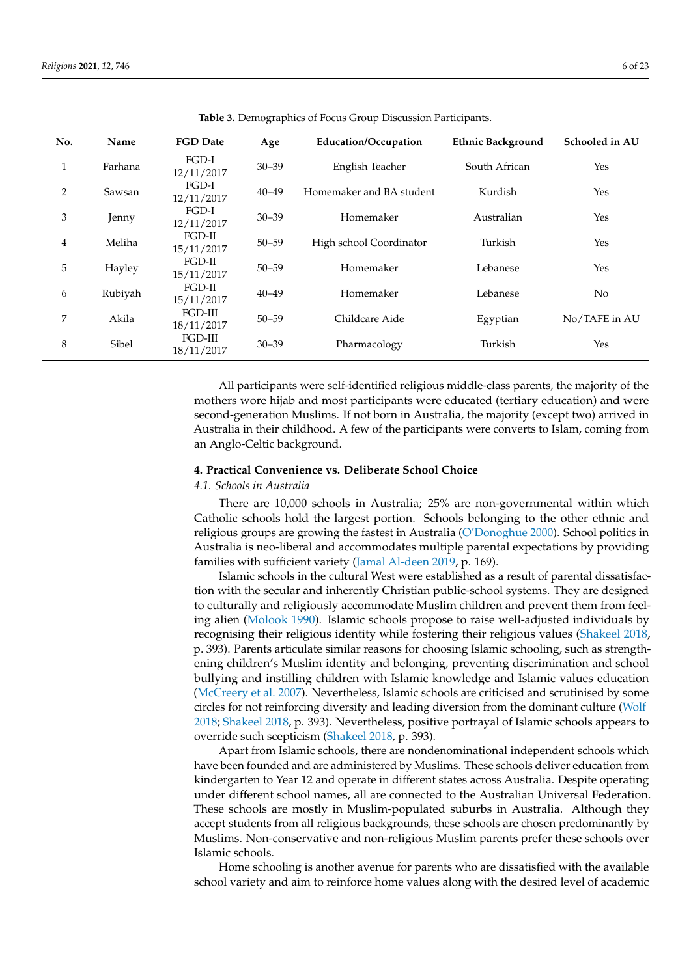<span id="page-5-0"></span>

| No.            | Name    | <b>FGD</b> Date        | Age       | <b>Education/Occupation</b> | <b>Ethnic Background</b> | Schooled in AU |
|----------------|---------|------------------------|-----------|-----------------------------|--------------------------|----------------|
| $\mathbf{1}$   | Farhana | $FGD-I$<br>12/11/2017  | $30 - 39$ | English Teacher             | South African            | Yes            |
| 2              | Sawsan  | $FGD-I$<br>12/11/2017  | $40 - 49$ | Homemaker and BA student    | Kurdish                  | Yes            |
| 3              | Jenny   | FGD-I<br>12/11/2017    | $30 - 39$ | Homemaker                   | Australian               | Yes            |
| $\overline{4}$ | Meliha  | FGD-II<br>15/11/2017   | $50 - 59$ | High school Coordinator     | Turkish                  | Yes            |
| 5              | Hayley  | $FGD-II$<br>15/11/2017 | $50 - 59$ | Homemaker                   | Lebanese                 | Yes            |
| 6              | Rubiyah | $FGD-II$<br>15/11/2017 | $40 - 49$ | Homemaker                   | Lebanese                 | No.            |
| 7              | Akila   | FGD-III<br>18/11/2017  | $50 - 59$ | Childcare Aide              | Egyptian                 | No/TAFE in AU  |
| $\,8\,$        | Sibel   | FGD-III<br>18/11/2017  | $30 - 39$ | Pharmacology                | Turkish                  | Yes            |

**Table 3.** Demographics of Focus Group Discussion Participants.

All participants were self-identified religious middle-class parents, the majority of the mothers wore hijab and most participants were educated (tertiary education) and were second-generation Muslims. If not born in Australia, the majority (except two) arrived in Australia in their childhood. A few of the participants were converts to Islam, coming from an Anglo-Celtic background.

## **4. Practical Convenience vs. Deliberate School Choice**

## *4.1. Schools in Australia*

There are 10,000 schools in Australia; 25% are non-governmental within which Catholic schools hold the largest portion. Schools belonging to the other ethnic and religious groups are growing the fastest in Australia [\(O'Donoghue](#page-22-11) [2000\)](#page-22-11). School politics in Australia is neo-liberal and accommodates multiple parental expectations by providing families with sufficient variety [\(Jamal Al-deen](#page-21-2) [2019,](#page-21-2) p. 169).

Islamic schools in the cultural West were established as a result of parental dissatisfaction with the secular and inherently Christian public-school systems. They are designed to culturally and religiously accommodate Muslim children and prevent them from feeling alien [\(Molook](#page-22-12) [1990\)](#page-22-12). Islamic schools propose to raise well-adjusted individuals by recognising their religious identity while fostering their religious values [\(Shakeel](#page-22-13) [2018,](#page-22-13) p. 393). Parents articulate similar reasons for choosing Islamic schooling, such as strengthening children's Muslim identity and belonging, preventing discrimination and school bullying and instilling children with Islamic knowledge and Islamic values education [\(McCreery et al.](#page-21-22) [2007\)](#page-21-22). Nevertheless, Islamic schools are criticised and scrutinised by some circles for not reinforcing diversity and leading diversion from the dominant culture [\(Wolf](#page-22-0) [2018;](#page-22-0) [Shakeel](#page-22-13) [2018,](#page-22-13) p. 393). Nevertheless, positive portrayal of Islamic schools appears to override such scepticism [\(Shakeel](#page-22-13) [2018,](#page-22-13) p. 393).

Apart from Islamic schools, there are nondenominational independent schools which have been founded and are administered by Muslims. These schools deliver education from kindergarten to Year 12 and operate in different states across Australia. Despite operating under different school names, all are connected to the Australian Universal Federation. These schools are mostly in Muslim-populated suburbs in Australia. Although they accept students from all religious backgrounds, these schools are chosen predominantly by Muslims. Non-conservative and non-religious Muslim parents prefer these schools over Islamic schools.

Home schooling is another avenue for parents who are dissatisfied with the available school variety and aim to reinforce home values along with the desired level of academic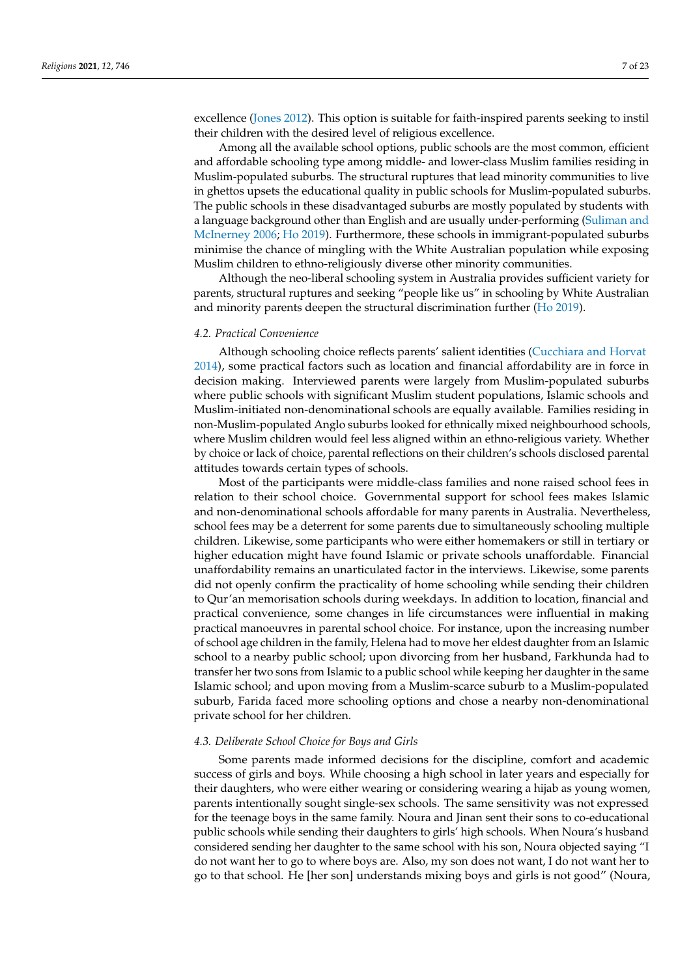excellence [\(Jones](#page-21-23) [2012\)](#page-21-23). This option is suitable for faith-inspired parents seeking to instil their children with the desired level of religious excellence.

Among all the available school options, public schools are the most common, efficient and affordable schooling type among middle- and lower-class Muslim families residing in Muslim-populated suburbs. The structural ruptures that lead minority communities to live in ghettos upsets the educational quality in public schools for Muslim-populated suburbs. The public schools in these disadvantaged suburbs are mostly populated by students with a language background other than English and are usually under-performing [\(Suliman and](#page-22-14) [McInerney](#page-22-14) [2006;](#page-22-14) [Ho](#page-21-24) [2019\)](#page-21-24). Furthermore, these schools in immigrant-populated suburbs minimise the chance of mingling with the White Australian population while exposing Muslim children to ethno-religiously diverse other minority communities.

Although the neo-liberal schooling system in Australia provides sufficient variety for parents, structural ruptures and seeking "people like us" in schooling by White Australian and minority parents deepen the structural discrimination further [\(Ho](#page-21-24) [2019\)](#page-21-24).

#### *4.2. Practical Convenience*

Although schooling choice reflects parents' salient identities [\(Cucchiara and Horvat](#page-21-14) [2014\)](#page-21-14), some practical factors such as location and financial affordability are in force in decision making. Interviewed parents were largely from Muslim-populated suburbs where public schools with significant Muslim student populations, Islamic schools and Muslim-initiated non-denominational schools are equally available. Families residing in non-Muslim-populated Anglo suburbs looked for ethnically mixed neighbourhood schools, where Muslim children would feel less aligned within an ethno-religious variety. Whether by choice or lack of choice, parental reflections on their children's schools disclosed parental attitudes towards certain types of schools.

Most of the participants were middle-class families and none raised school fees in relation to their school choice. Governmental support for school fees makes Islamic and non-denominational schools affordable for many parents in Australia. Nevertheless, school fees may be a deterrent for some parents due to simultaneously schooling multiple children. Likewise, some participants who were either homemakers or still in tertiary or higher education might have found Islamic or private schools unaffordable. Financial unaffordability remains an unarticulated factor in the interviews. Likewise, some parents did not openly confirm the practicality of home schooling while sending their children to Qur'an memorisation schools during weekdays. In addition to location, financial and practical convenience, some changes in life circumstances were influential in making practical manoeuvres in parental school choice. For instance, upon the increasing number of school age children in the family, Helena had to move her eldest daughter from an Islamic school to a nearby public school; upon divorcing from her husband, Farkhunda had to transfer her two sons from Islamic to a public school while keeping her daughter in the same Islamic school; and upon moving from a Muslim-scarce suburb to a Muslim-populated suburb, Farida faced more schooling options and chose a nearby non-denominational private school for her children.

## *4.3. Deliberate School Choice for Boys and Girls*

Some parents made informed decisions for the discipline, comfort and academic success of girls and boys. While choosing a high school in later years and especially for their daughters, who were either wearing or considering wearing a hijab as young women, parents intentionally sought single-sex schools. The same sensitivity was not expressed for the teenage boys in the same family. Noura and Jinan sent their sons to co-educational public schools while sending their daughters to girls' high schools. When Noura's husband considered sending her daughter to the same school with his son, Noura objected saying "I do not want her to go to where boys are. Also, my son does not want, I do not want her to go to that school. He [her son] understands mixing boys and girls is not good" (Noura,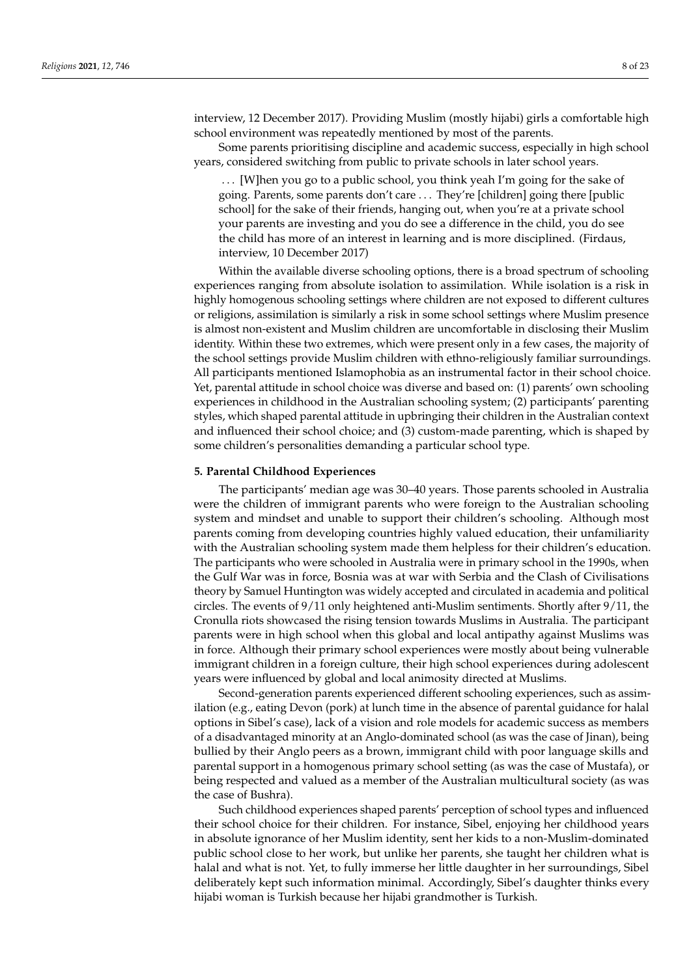interview, 12 December 2017). Providing Muslim (mostly hijabi) girls a comfortable high school environment was repeatedly mentioned by most of the parents.

Some parents prioritising discipline and academic success, especially in high school years, considered switching from public to private schools in later school years.

. . . [W]hen you go to a public school, you think yeah I'm going for the sake of going. Parents, some parents don't care . . . They're [children] going there [public school] for the sake of their friends, hanging out, when you're at a private school your parents are investing and you do see a difference in the child, you do see the child has more of an interest in learning and is more disciplined. (Firdaus, interview, 10 December 2017)

Within the available diverse schooling options, there is a broad spectrum of schooling experiences ranging from absolute isolation to assimilation. While isolation is a risk in highly homogenous schooling settings where children are not exposed to different cultures or religions, assimilation is similarly a risk in some school settings where Muslim presence is almost non-existent and Muslim children are uncomfortable in disclosing their Muslim identity. Within these two extremes, which were present only in a few cases, the majority of the school settings provide Muslim children with ethno-religiously familiar surroundings. All participants mentioned Islamophobia as an instrumental factor in their school choice. Yet, parental attitude in school choice was diverse and based on: (1) parents' own schooling experiences in childhood in the Australian schooling system; (2) participants' parenting styles, which shaped parental attitude in upbringing their children in the Australian context and influenced their school choice; and (3) custom-made parenting, which is shaped by some children's personalities demanding a particular school type.

#### **5. Parental Childhood Experiences**

The participants' median age was 30–40 years. Those parents schooled in Australia were the children of immigrant parents who were foreign to the Australian schooling system and mindset and unable to support their children's schooling. Although most parents coming from developing countries highly valued education, their unfamiliarity with the Australian schooling system made them helpless for their children's education. The participants who were schooled in Australia were in primary school in the 1990s, when the Gulf War was in force, Bosnia was at war with Serbia and the Clash of Civilisations theory by Samuel Huntington was widely accepted and circulated in academia and political circles. The events of 9/11 only heightened anti-Muslim sentiments. Shortly after 9/11, the Cronulla riots showcased the rising tension towards Muslims in Australia. The participant parents were in high school when this global and local antipathy against Muslims was in force. Although their primary school experiences were mostly about being vulnerable immigrant children in a foreign culture, their high school experiences during adolescent years were influenced by global and local animosity directed at Muslims.

Second-generation parents experienced different schooling experiences, such as assimilation (e.g., eating Devon (pork) at lunch time in the absence of parental guidance for halal options in Sibel's case), lack of a vision and role models for academic success as members of a disadvantaged minority at an Anglo-dominated school (as was the case of Jinan), being bullied by their Anglo peers as a brown, immigrant child with poor language skills and parental support in a homogenous primary school setting (as was the case of Mustafa), or being respected and valued as a member of the Australian multicultural society (as was the case of Bushra).

Such childhood experiences shaped parents' perception of school types and influenced their school choice for their children. For instance, Sibel, enjoying her childhood years in absolute ignorance of her Muslim identity, sent her kids to a non-Muslim-dominated public school close to her work, but unlike her parents, she taught her children what is halal and what is not. Yet, to fully immerse her little daughter in her surroundings, Sibel deliberately kept such information minimal. Accordingly, Sibel's daughter thinks every hijabi woman is Turkish because her hijabi grandmother is Turkish.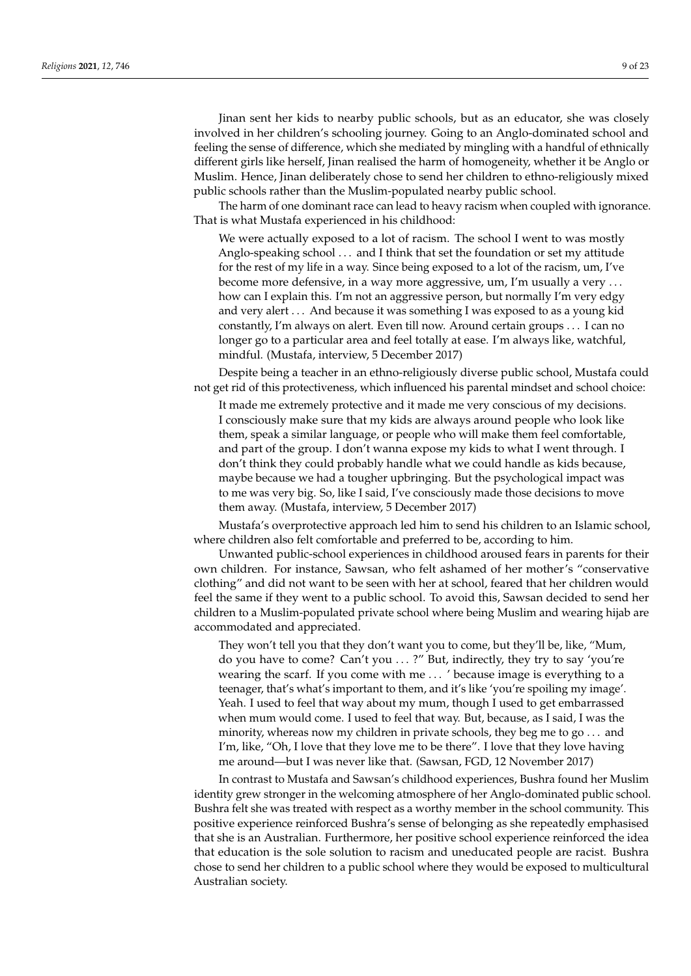Jinan sent her kids to nearby public schools, but as an educator, she was closely involved in her children's schooling journey. Going to an Anglo-dominated school and feeling the sense of difference, which she mediated by mingling with a handful of ethnically different girls like herself, Jinan realised the harm of homogeneity, whether it be Anglo or Muslim. Hence, Jinan deliberately chose to send her children to ethno-religiously mixed public schools rather than the Muslim-populated nearby public school.

The harm of one dominant race can lead to heavy racism when coupled with ignorance. That is what Mustafa experienced in his childhood:

We were actually exposed to a lot of racism. The school I went to was mostly Anglo-speaking school . . . and I think that set the foundation or set my attitude for the rest of my life in a way. Since being exposed to a lot of the racism, um, I've become more defensive, in a way more aggressive, um, I'm usually a very . . . how can I explain this. I'm not an aggressive person, but normally I'm very edgy and very alert . . . And because it was something I was exposed to as a young kid constantly, I'm always on alert. Even till now. Around certain groups . . . I can no longer go to a particular area and feel totally at ease. I'm always like, watchful, mindful. (Mustafa, interview, 5 December 2017)

Despite being a teacher in an ethno-religiously diverse public school, Mustafa could not get rid of this protectiveness, which influenced his parental mindset and school choice:

It made me extremely protective and it made me very conscious of my decisions. I consciously make sure that my kids are always around people who look like them, speak a similar language, or people who will make them feel comfortable, and part of the group. I don't wanna expose my kids to what I went through. I don't think they could probably handle what we could handle as kids because, maybe because we had a tougher upbringing. But the psychological impact was to me was very big. So, like I said, I've consciously made those decisions to move them away. (Mustafa, interview, 5 December 2017)

Mustafa's overprotective approach led him to send his children to an Islamic school, where children also felt comfortable and preferred to be, according to him.

Unwanted public-school experiences in childhood aroused fears in parents for their own children. For instance, Sawsan, who felt ashamed of her mother's "conservative clothing" and did not want to be seen with her at school, feared that her children would feel the same if they went to a public school. To avoid this, Sawsan decided to send her children to a Muslim-populated private school where being Muslim and wearing hijab are accommodated and appreciated.

They won't tell you that they don't want you to come, but they'll be, like, "Mum, do you have to come? Can't you . . . ?" But, indirectly, they try to say 'you're wearing the scarf. If you come with me . . . ' because image is everything to a teenager, that's what's important to them, and it's like 'you're spoiling my image'. Yeah. I used to feel that way about my mum, though I used to get embarrassed when mum would come. I used to feel that way. But, because, as I said, I was the minority, whereas now my children in private schools, they beg me to go . . . and I'm, like, "Oh, I love that they love me to be there". I love that they love having me around—but I was never like that. (Sawsan, FGD, 12 November 2017)

In contrast to Mustafa and Sawsan's childhood experiences, Bushra found her Muslim identity grew stronger in the welcoming atmosphere of her Anglo-dominated public school. Bushra felt she was treated with respect as a worthy member in the school community. This positive experience reinforced Bushra's sense of belonging as she repeatedly emphasised that she is an Australian. Furthermore, her positive school experience reinforced the idea that education is the sole solution to racism and uneducated people are racist. Bushra chose to send her children to a public school where they would be exposed to multicultural Australian society.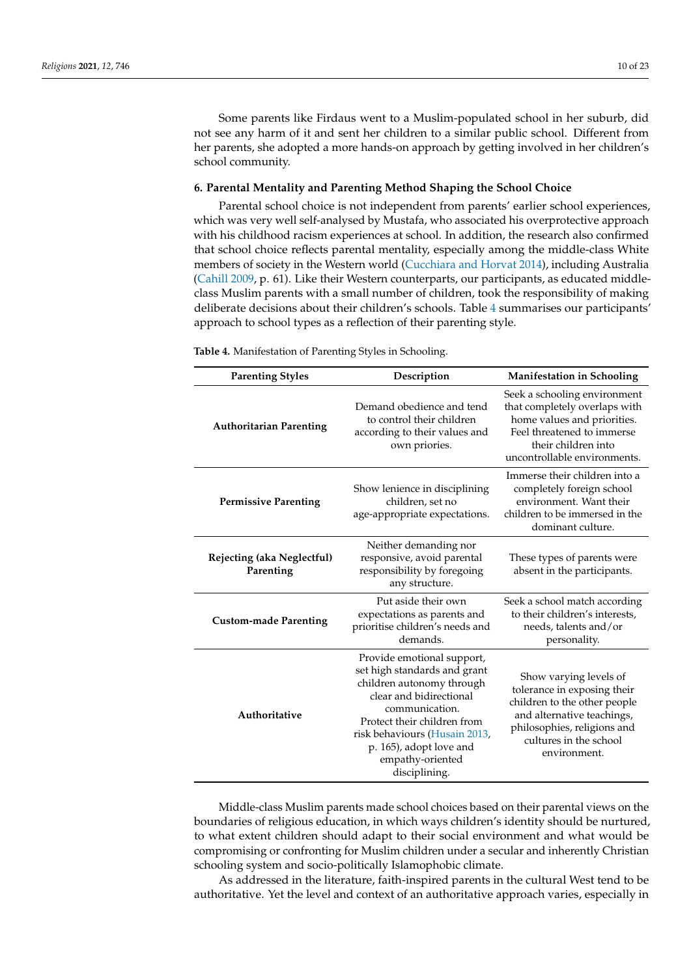Some parents like Firdaus went to a Muslim-populated school in her suburb, did not see any harm of it and sent her children to a similar public school. Different from her parents, she adopted a more hands-on approach by getting involved in her children's school community.

## **6. Parental Mentality and Parenting Method Shaping the School Choice**

Parental school choice is not independent from parents' earlier school experiences, which was very well self-analysed by Mustafa, who associated his overprotective approach with his childhood racism experiences at school. In addition, the research also confirmed that school choice reflects parental mentality, especially among the middle-class White members of society in the Western world [\(Cucchiara and Horvat](#page-21-14) [2014\)](#page-21-14), including Australia [\(Cahill](#page-21-25) [2009,](#page-21-25) p. 61). Like their Western counterparts, our participants, as educated middleclass Muslim parents with a small number of children, took the responsibility of making deliberate decisions about their children's schools. Table [4](#page-9-0) summarises our participants' approach to school types as a reflection of their parenting style.

| <b>Parenting Styles</b>                 | Description                                                                                                                                                                                                                                                          | <b>Manifestation in Schooling</b>                                                                                                                                                            |  |
|-----------------------------------------|----------------------------------------------------------------------------------------------------------------------------------------------------------------------------------------------------------------------------------------------------------------------|----------------------------------------------------------------------------------------------------------------------------------------------------------------------------------------------|--|
| <b>Authoritarian Parenting</b>          | Demand obedience and tend<br>to control their children<br>according to their values and<br>own priories.                                                                                                                                                             | Seek a schooling environment<br>that completely overlaps with<br>home values and priorities.<br>Feel threatened to immerse<br>their children into<br>uncontrollable environments.            |  |
| <b>Permissive Parenting</b>             | Show lenience in disciplining<br>children, set no<br>age-appropriate expectations.                                                                                                                                                                                   | Immerse their children into a<br>completely foreign school<br>environment. Want their<br>children to be immersed in the<br>dominant culture.                                                 |  |
| Rejecting (aka Neglectful)<br>Parenting | Neither demanding nor<br>responsive, avoid parental<br>responsibility by foregoing<br>any structure.                                                                                                                                                                 | These types of parents were<br>absent in the participants.                                                                                                                                   |  |
| <b>Custom-made Parenting</b>            | Put aside their own<br>expectations as parents and<br>prioritise children's needs and<br>demands.                                                                                                                                                                    | Seek a school match according<br>to their children's interests,<br>needs, talents and/or<br>personality.                                                                                     |  |
| Authoritative                           | Provide emotional support,<br>set high standards and grant<br>children autonomy through<br>clear and bidirectional<br>communication.<br>Protect their children from<br>risk behaviours (Husain 2013,<br>p. 165), adopt love and<br>empathy-oriented<br>disciplining. | Show varying levels of<br>tolerance in exposing their<br>children to the other people<br>and alternative teachings,<br>philosophies, religions and<br>cultures in the school<br>environment. |  |

<span id="page-9-0"></span>**Table 4.** Manifestation of Parenting Styles in Schooling.

Middle-class Muslim parents made school choices based on their parental views on the boundaries of religious education, in which ways children's identity should be nurtured, to what extent children should adapt to their social environment and what would be compromising or confronting for Muslim children under a secular and inherently Christian schooling system and socio-politically Islamophobic climate.

As addressed in the literature, faith-inspired parents in the cultural West tend to be authoritative. Yet the level and context of an authoritative approach varies, especially in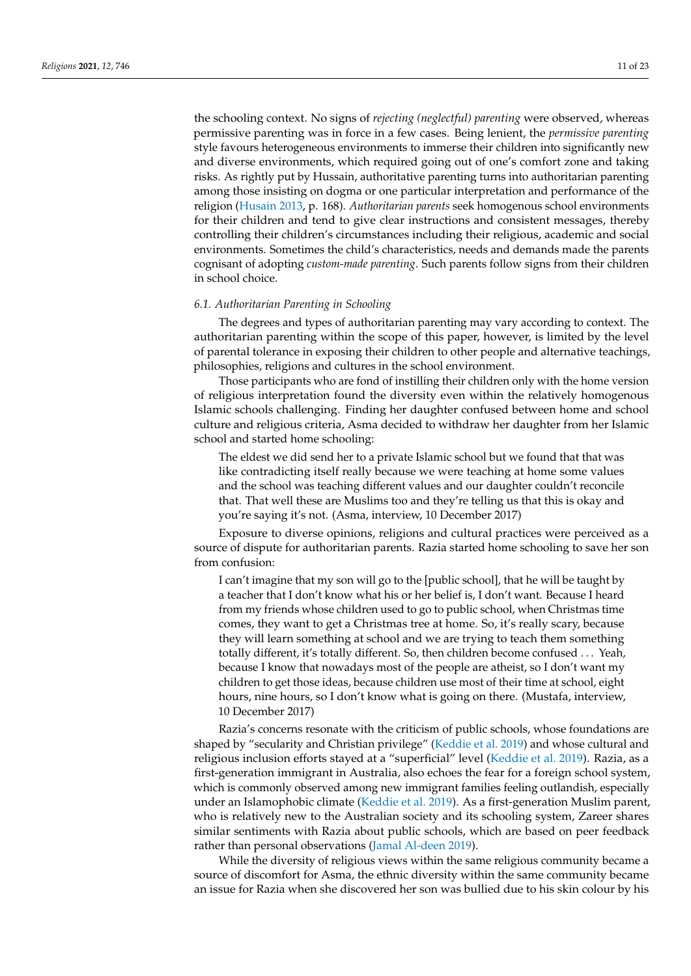the schooling context. No signs of *rejecting (neglectful) parenting* were observed, whereas permissive parenting was in force in a few cases. Being lenient, the *permissive parenting* style favours heterogeneous environments to immerse their children into significantly new and diverse environments, which required going out of one's comfort zone and taking risks. As rightly put by Hussain, authoritative parenting turns into authoritarian parenting among those insisting on dogma or one particular interpretation and performance of the religion [\(Husain](#page-21-0) [2013,](#page-21-0) p. 168). *Authoritarian parents* seek homogenous school environments for their children and tend to give clear instructions and consistent messages, thereby controlling their children's circumstances including their religious, academic and social environments. Sometimes the child's characteristics, needs and demands made the parents cognisant of adopting *custom-made parenting*. Such parents follow signs from their children in school choice.

#### *6.1. Authoritarian Parenting in Schooling*

The degrees and types of authoritarian parenting may vary according to context. The authoritarian parenting within the scope of this paper, however, is limited by the level of parental tolerance in exposing their children to other people and alternative teachings, philosophies, religions and cultures in the school environment.

Those participants who are fond of instilling their children only with the home version of religious interpretation found the diversity even within the relatively homogenous Islamic schools challenging. Finding her daughter confused between home and school culture and religious criteria, Asma decided to withdraw her daughter from her Islamic school and started home schooling:

The eldest we did send her to a private Islamic school but we found that that was like contradicting itself really because we were teaching at home some values and the school was teaching different values and our daughter couldn't reconcile that. That well these are Muslims too and they're telling us that this is okay and you're saying it's not. (Asma, interview, 10 December 2017)

Exposure to diverse opinions, religions and cultural practices were perceived as a source of dispute for authoritarian parents. Razia started home schooling to save her son from confusion:

I can't imagine that my son will go to the [public school], that he will be taught by a teacher that I don't know what his or her belief is, I don't want. Because I heard from my friends whose children used to go to public school, when Christmas time comes, they want to get a Christmas tree at home. So, it's really scary, because they will learn something at school and we are trying to teach them something totally different, it's totally different. So, then children become confused . . . Yeah, because I know that nowadays most of the people are atheist, so I don't want my children to get those ideas, because children use most of their time at school, eight hours, nine hours, so I don't know what is going on there. (Mustafa, interview, 10 December 2017)

Razia's concerns resonate with the criticism of public schools, whose foundations are shaped by "secularity and Christian privilege" [\(Keddie et al.](#page-21-13) [2019\)](#page-21-13) and whose cultural and religious inclusion efforts stayed at a "superficial" level [\(Keddie et al.](#page-21-13) [2019\)](#page-21-13). Razia, as a first-generation immigrant in Australia, also echoes the fear for a foreign school system, which is commonly observed among new immigrant families feeling outlandish, especially under an Islamophobic climate [\(Keddie et al.](#page-21-13) [2019\)](#page-21-13). As a first-generation Muslim parent, who is relatively new to the Australian society and its schooling system, Zareer shares similar sentiments with Razia about public schools, which are based on peer feedback rather than personal observations [\(Jamal Al-deen](#page-21-2) [2019\)](#page-21-2).

While the diversity of religious views within the same religious community became a source of discomfort for Asma, the ethnic diversity within the same community became an issue for Razia when she discovered her son was bullied due to his skin colour by his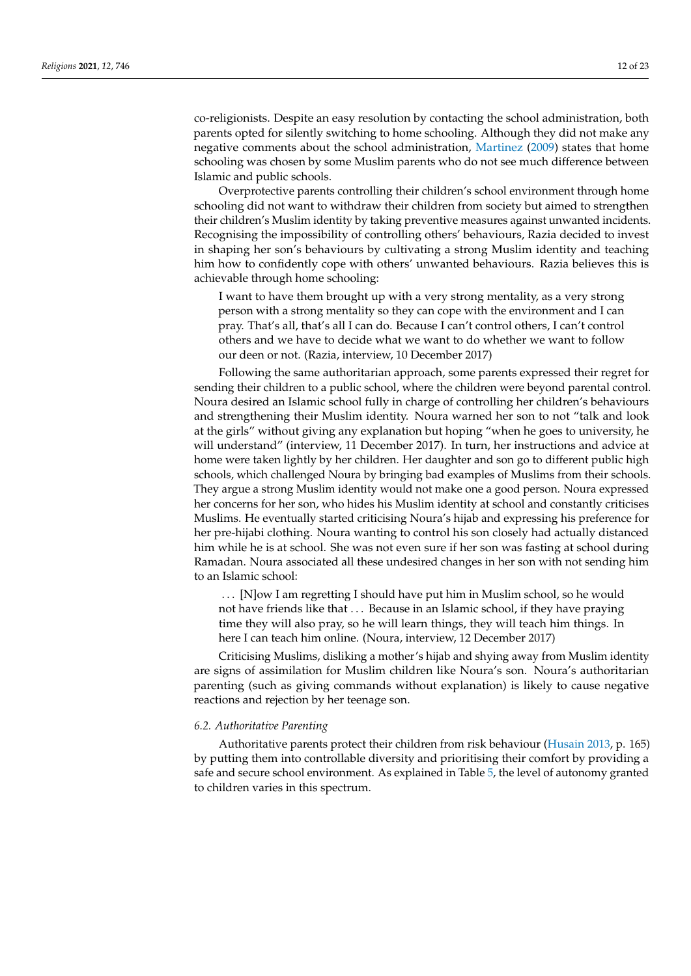co-religionists. Despite an easy resolution by contacting the school administration, both parents opted for silently switching to home schooling. Although they did not make any negative comments about the school administration, [Martinez](#page-21-26) [\(2009\)](#page-21-26) states that home schooling was chosen by some Muslim parents who do not see much difference between Islamic and public schools.

Overprotective parents controlling their children's school environment through home schooling did not want to withdraw their children from society but aimed to strengthen their children's Muslim identity by taking preventive measures against unwanted incidents. Recognising the impossibility of controlling others' behaviours, Razia decided to invest in shaping her son's behaviours by cultivating a strong Muslim identity and teaching him how to confidently cope with others' unwanted behaviours. Razia believes this is achievable through home schooling:

I want to have them brought up with a very strong mentality, as a very strong person with a strong mentality so they can cope with the environment and I can pray. That's all, that's all I can do. Because I can't control others, I can't control others and we have to decide what we want to do whether we want to follow our deen or not. (Razia, interview, 10 December 2017)

Following the same authoritarian approach, some parents expressed their regret for sending their children to a public school, where the children were beyond parental control. Noura desired an Islamic school fully in charge of controlling her children's behaviours and strengthening their Muslim identity. Noura warned her son to not "talk and look at the girls" without giving any explanation but hoping "when he goes to university, he will understand" (interview, 11 December 2017). In turn, her instructions and advice at home were taken lightly by her children. Her daughter and son go to different public high schools, which challenged Noura by bringing bad examples of Muslims from their schools. They argue a strong Muslim identity would not make one a good person. Noura expressed her concerns for her son, who hides his Muslim identity at school and constantly criticises Muslims. He eventually started criticising Noura's hijab and expressing his preference for her pre-hijabi clothing. Noura wanting to control his son closely had actually distanced him while he is at school. She was not even sure if her son was fasting at school during Ramadan. Noura associated all these undesired changes in her son with not sending him to an Islamic school:

. . . [N]ow I am regretting I should have put him in Muslim school, so he would not have friends like that . . . Because in an Islamic school, if they have praying time they will also pray, so he will learn things, they will teach him things. In here I can teach him online. (Noura, interview, 12 December 2017)

Criticising Muslims, disliking a mother's hijab and shying away from Muslim identity are signs of assimilation for Muslim children like Noura's son. Noura's authoritarian parenting (such as giving commands without explanation) is likely to cause negative reactions and rejection by her teenage son.

#### *6.2. Authoritative Parenting*

Authoritative parents protect their children from risk behaviour [\(Husain](#page-21-0) [2013,](#page-21-0) p. 165) by putting them into controllable diversity and prioritising their comfort by providing a safe and secure school environment. As explained in Table [5,](#page-12-0) the level of autonomy granted to children varies in this spectrum.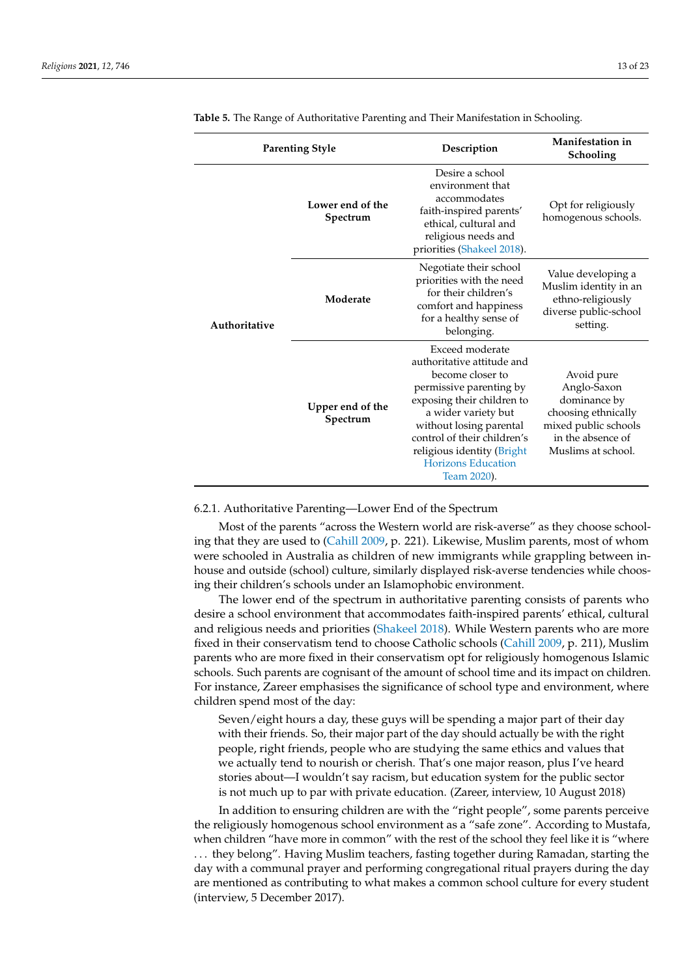|               | <b>Parenting Style</b>       | Description                                                                                                                                                                                                                                                                           | Manifestation in<br>Schooling                                                                                                       |
|---------------|------------------------------|---------------------------------------------------------------------------------------------------------------------------------------------------------------------------------------------------------------------------------------------------------------------------------------|-------------------------------------------------------------------------------------------------------------------------------------|
|               | Lower end of the<br>Spectrum | Desire a school<br>environment that<br>accommodates<br>faith-inspired parents'<br>ethical, cultural and<br>religious needs and<br>priorities (Shakeel 2018).                                                                                                                          | Opt for religiously<br>homogenous schools.                                                                                          |
| Authoritative | Moderate                     | Negotiate their school<br>priorities with the need<br>for their children's<br>comfort and happiness<br>for a healthy sense of<br>belonging.                                                                                                                                           | Value developing a<br>Muslim identity in an<br>ethno-religiously<br>diverse public-school<br>setting.                               |
|               | Upper end of the<br>Spectrum | Exceed moderate<br>authoritative attitude and<br>become closer to<br>permissive parenting by<br>exposing their children to<br>a wider variety but<br>without losing parental<br>control of their children's<br>religious identity (Bright<br><b>Horizons Education</b><br>Team 2020). | Avoid pure<br>Anglo-Saxon<br>dominance by<br>choosing ethnically<br>mixed public schools<br>in the absence of<br>Muslims at school. |

<span id="page-12-0"></span>**Table 5.** The Range of Authoritative Parenting and Their Manifestation in Schooling.

#### 6.2.1. Authoritative Parenting—Lower End of the Spectrum

Most of the parents "across the Western world are risk-averse" as they choose schooling that they are used to [\(Cahill](#page-21-25) [2009,](#page-21-25) p. 221). Likewise, Muslim parents, most of whom were schooled in Australia as children of new immigrants while grappling between inhouse and outside (school) culture, similarly displayed risk-averse tendencies while choosing their children's schools under an Islamophobic environment.

The lower end of the spectrum in authoritative parenting consists of parents who desire a school environment that accommodates faith-inspired parents' ethical, cultural and religious needs and priorities [\(Shakeel](#page-22-13) [2018\)](#page-22-13). While Western parents who are more fixed in their conservatism tend to choose Catholic schools [\(Cahill](#page-21-25) [2009,](#page-21-25) p. 211), Muslim parents who are more fixed in their conservatism opt for religiously homogenous Islamic schools. Such parents are cognisant of the amount of school time and its impact on children. For instance, Zareer emphasises the significance of school type and environment, where children spend most of the day:

Seven/eight hours a day, these guys will be spending a major part of their day with their friends. So, their major part of the day should actually be with the right people, right friends, people who are studying the same ethics and values that we actually tend to nourish or cherish. That's one major reason, plus I've heard stories about—I wouldn't say racism, but education system for the public sector is not much up to par with private education. (Zareer, interview, 10 August 2018)

In addition to ensuring children are with the "right people", some parents perceive the religiously homogenous school environment as a "safe zone". According to Mustafa, when children "have more in common" with the rest of the school they feel like it is "where . . . they belong". Having Muslim teachers, fasting together during Ramadan, starting the day with a communal prayer and performing congregational ritual prayers during the day are mentioned as contributing to what makes a common school culture for every student (interview, 5 December 2017).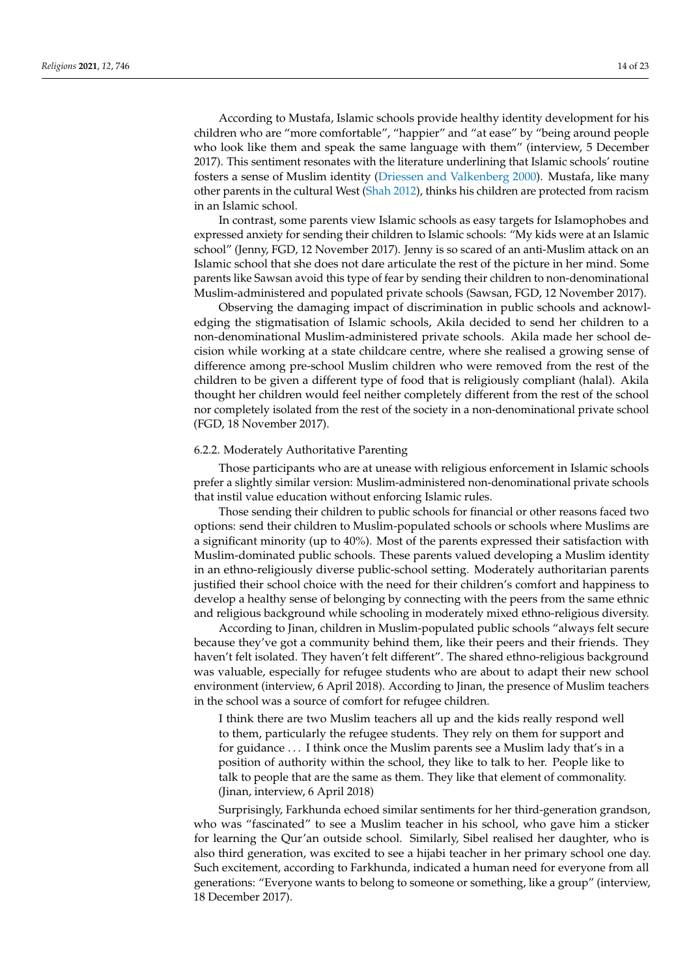According to Mustafa, Islamic schools provide healthy identity development for his children who are "more comfortable", "happier" and "at ease" by "being around people who look like them and speak the same language with them" (interview, 5 December 2017). This sentiment resonates with the literature underlining that Islamic schools' routine fosters a sense of Muslim identity [\(Driessen and Valkenberg](#page-21-28) [2000\)](#page-21-28). Mustafa, like many other parents in the cultural West [\(Shah](#page-22-15) [2012\)](#page-22-15), thinks his children are protected from racism in an Islamic school.

In contrast, some parents view Islamic schools as easy targets for Islamophobes and expressed anxiety for sending their children to Islamic schools: "My kids were at an Islamic school" (Jenny, FGD, 12 November 2017). Jenny is so scared of an anti-Muslim attack on an Islamic school that she does not dare articulate the rest of the picture in her mind. Some parents like Sawsan avoid this type of fear by sending their children to non-denominational Muslim-administered and populated private schools (Sawsan, FGD, 12 November 2017).

Observing the damaging impact of discrimination in public schools and acknowledging the stigmatisation of Islamic schools, Akila decided to send her children to a non-denominational Muslim-administered private schools. Akila made her school decision while working at a state childcare centre, where she realised a growing sense of difference among pre-school Muslim children who were removed from the rest of the children to be given a different type of food that is religiously compliant (halal). Akila thought her children would feel neither completely different from the rest of the school nor completely isolated from the rest of the society in a non-denominational private school (FGD, 18 November 2017).

## 6.2.2. Moderately Authoritative Parenting

Those participants who are at unease with religious enforcement in Islamic schools prefer a slightly similar version: Muslim-administered non-denominational private schools that instil value education without enforcing Islamic rules.

Those sending their children to public schools for financial or other reasons faced two options: send their children to Muslim-populated schools or schools where Muslims are a significant minority (up to 40%). Most of the parents expressed their satisfaction with Muslim-dominated public schools. These parents valued developing a Muslim identity in an ethno-religiously diverse public-school setting. Moderately authoritarian parents justified their school choice with the need for their children's comfort and happiness to develop a healthy sense of belonging by connecting with the peers from the same ethnic and religious background while schooling in moderately mixed ethno-religious diversity.

According to Jinan, children in Muslim-populated public schools "always felt secure because they've got a community behind them, like their peers and their friends. They haven't felt isolated. They haven't felt different". The shared ethno-religious background was valuable, especially for refugee students who are about to adapt their new school environment (interview, 6 April 2018). According to Jinan, the presence of Muslim teachers in the school was a source of comfort for refugee children.

I think there are two Muslim teachers all up and the kids really respond well to them, particularly the refugee students. They rely on them for support and for guidance . . . I think once the Muslim parents see a Muslim lady that's in a position of authority within the school, they like to talk to her. People like to talk to people that are the same as them. They like that element of commonality. (Jinan, interview, 6 April 2018)

Surprisingly, Farkhunda echoed similar sentiments for her third-generation grandson, who was "fascinated" to see a Muslim teacher in his school, who gave him a sticker for learning the Qur'an outside school. Similarly, Sibel realised her daughter, who is also third generation, was excited to see a hijabi teacher in her primary school one day. Such excitement, according to Farkhunda, indicated a human need for everyone from all generations: "Everyone wants to belong to someone or something, like a group" (interview, 18 December 2017).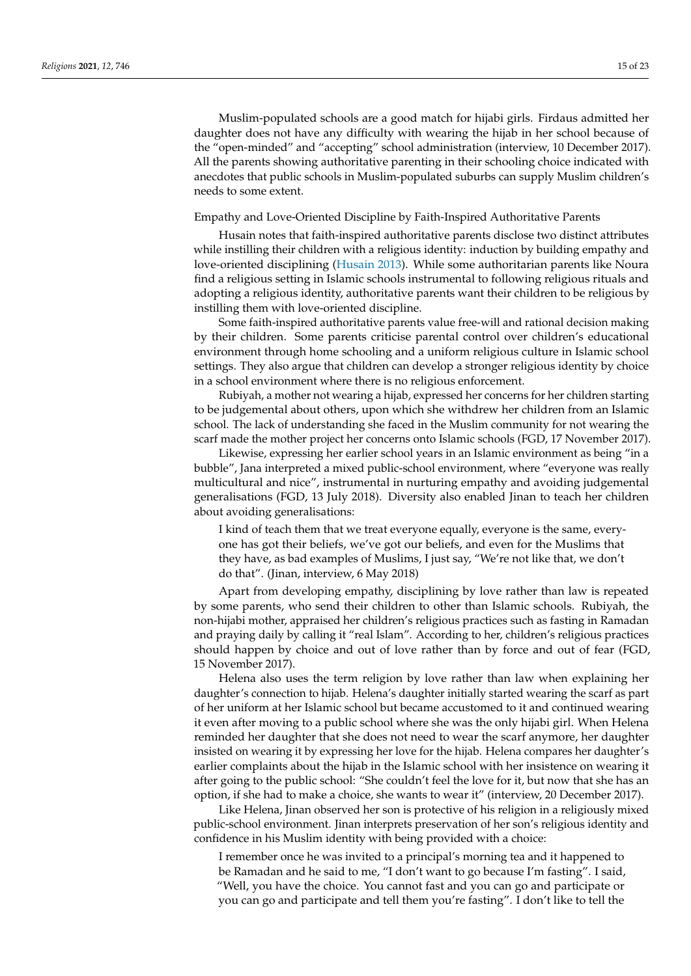Muslim-populated schools are a good match for hijabi girls. Firdaus admitted her daughter does not have any difficulty with wearing the hijab in her school because of the "open-minded" and "accepting" school administration (interview, 10 December 2017). All the parents showing authoritative parenting in their schooling choice indicated with anecdotes that public schools in Muslim-populated suburbs can supply Muslim children's needs to some extent.

#### Empathy and Love-Oriented Discipline by Faith-Inspired Authoritative Parents

Husain notes that faith-inspired authoritative parents disclose two distinct attributes while instilling their children with a religious identity: induction by building empathy and love-oriented disciplining [\(Husain](#page-21-0) [2013\)](#page-21-0). While some authoritarian parents like Noura find a religious setting in Islamic schools instrumental to following religious rituals and adopting a religious identity, authoritative parents want their children to be religious by instilling them with love-oriented discipline.

Some faith-inspired authoritative parents value free-will and rational decision making by their children. Some parents criticise parental control over children's educational environment through home schooling and a uniform religious culture in Islamic school settings. They also argue that children can develop a stronger religious identity by choice in a school environment where there is no religious enforcement.

Rubiyah, a mother not wearing a hijab, expressed her concerns for her children starting to be judgemental about others, upon which she withdrew her children from an Islamic school. The lack of understanding she faced in the Muslim community for not wearing the scarf made the mother project her concerns onto Islamic schools (FGD, 17 November 2017).

Likewise, expressing her earlier school years in an Islamic environment as being "in a bubble", Jana interpreted a mixed public-school environment, where "everyone was really multicultural and nice", instrumental in nurturing empathy and avoiding judgemental generalisations (FGD, 13 July 2018). Diversity also enabled Jinan to teach her children about avoiding generalisations:

I kind of teach them that we treat everyone equally, everyone is the same, everyone has got their beliefs, we've got our beliefs, and even for the Muslims that they have, as bad examples of Muslims, I just say, "We're not like that, we don't do that". (Jinan, interview, 6 May 2018)

Apart from developing empathy, disciplining by love rather than law is repeated by some parents, who send their children to other than Islamic schools. Rubiyah, the non-hijabi mother, appraised her children's religious practices such as fasting in Ramadan and praying daily by calling it "real Islam". According to her, children's religious practices should happen by choice and out of love rather than by force and out of fear (FGD, 15 November 2017).

Helena also uses the term religion by love rather than law when explaining her daughter's connection to hijab. Helena's daughter initially started wearing the scarf as part of her uniform at her Islamic school but became accustomed to it and continued wearing it even after moving to a public school where she was the only hijabi girl. When Helena reminded her daughter that she does not need to wear the scarf anymore, her daughter insisted on wearing it by expressing her love for the hijab. Helena compares her daughter's earlier complaints about the hijab in the Islamic school with her insistence on wearing it after going to the public school: "She couldn't feel the love for it, but now that she has an option, if she had to make a choice, she wants to wear it" (interview, 20 December 2017).

Like Helena, Jinan observed her son is protective of his religion in a religiously mixed public-school environment. Jinan interprets preservation of her son's religious identity and confidence in his Muslim identity with being provided with a choice:

I remember once he was invited to a principal's morning tea and it happened to be Ramadan and he said to me, "I don't want to go because I'm fasting". I said, "Well, you have the choice. You cannot fast and you can go and participate or you can go and participate and tell them you're fasting". I don't like to tell the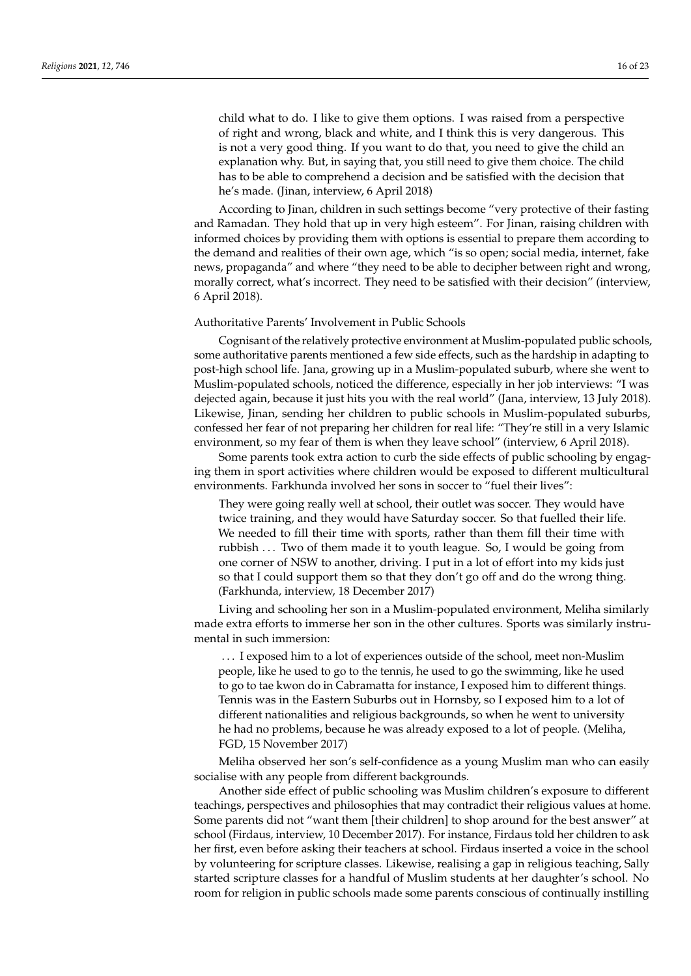child what to do. I like to give them options. I was raised from a perspective of right and wrong, black and white, and I think this is very dangerous. This is not a very good thing. If you want to do that, you need to give the child an explanation why. But, in saying that, you still need to give them choice. The child has to be able to comprehend a decision and be satisfied with the decision that he's made. (Jinan, interview, 6 April 2018)

According to Jinan, children in such settings become "very protective of their fasting and Ramadan. They hold that up in very high esteem". For Jinan, raising children with informed choices by providing them with options is essential to prepare them according to the demand and realities of their own age, which "is so open; social media, internet, fake news, propaganda" and where "they need to be able to decipher between right and wrong, morally correct, what's incorrect. They need to be satisfied with their decision" (interview, 6 April 2018).

## Authoritative Parents' Involvement in Public Schools

Cognisant of the relatively protective environment at Muslim-populated public schools, some authoritative parents mentioned a few side effects, such as the hardship in adapting to post-high school life. Jana, growing up in a Muslim-populated suburb, where she went to Muslim-populated schools, noticed the difference, especially in her job interviews: "I was dejected again, because it just hits you with the real world" (Jana, interview, 13 July 2018). Likewise, Jinan, sending her children to public schools in Muslim-populated suburbs, confessed her fear of not preparing her children for real life: "They're still in a very Islamic environment, so my fear of them is when they leave school" (interview, 6 April 2018).

Some parents took extra action to curb the side effects of public schooling by engaging them in sport activities where children would be exposed to different multicultural environments. Farkhunda involved her sons in soccer to "fuel their lives":

They were going really well at school, their outlet was soccer. They would have twice training, and they would have Saturday soccer. So that fuelled their life. We needed to fill their time with sports, rather than them fill their time with rubbish . . . Two of them made it to youth league. So, I would be going from one corner of NSW to another, driving. I put in a lot of effort into my kids just so that I could support them so that they don't go off and do the wrong thing. (Farkhunda, interview, 18 December 2017)

Living and schooling her son in a Muslim-populated environment, Meliha similarly made extra efforts to immerse her son in the other cultures. Sports was similarly instrumental in such immersion:

. . . I exposed him to a lot of experiences outside of the school, meet non-Muslim people, like he used to go to the tennis, he used to go the swimming, like he used to go to tae kwon do in Cabramatta for instance, I exposed him to different things. Tennis was in the Eastern Suburbs out in Hornsby, so I exposed him to a lot of different nationalities and religious backgrounds, so when he went to university he had no problems, because he was already exposed to a lot of people. (Meliha, FGD, 15 November 2017)

Meliha observed her son's self-confidence as a young Muslim man who can easily socialise with any people from different backgrounds.

Another side effect of public schooling was Muslim children's exposure to different teachings, perspectives and philosophies that may contradict their religious values at home. Some parents did not "want them [their children] to shop around for the best answer" at school (Firdaus, interview, 10 December 2017). For instance, Firdaus told her children to ask her first, even before asking their teachers at school. Firdaus inserted a voice in the school by volunteering for scripture classes. Likewise, realising a gap in religious teaching, Sally started scripture classes for a handful of Muslim students at her daughter's school. No room for religion in public schools made some parents conscious of continually instilling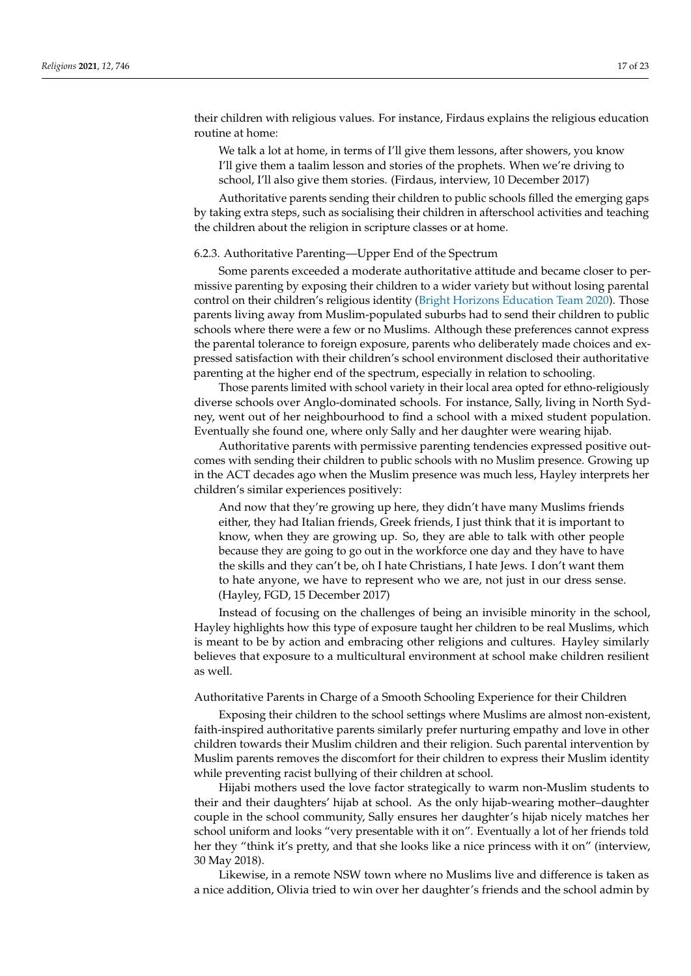their children with religious values. For instance, Firdaus explains the religious education routine at home:

We talk a lot at home, in terms of I'll give them lessons, after showers, you know I'll give them a taalim lesson and stories of the prophets. When we're driving to school, I'll also give them stories. (Firdaus, interview, 10 December 2017)

Authoritative parents sending their children to public schools filled the emerging gaps by taking extra steps, such as socialising their children in afterschool activities and teaching the children about the religion in scripture classes or at home.

## 6.2.3. Authoritative Parenting—Upper End of the Spectrum

Some parents exceeded a moderate authoritative attitude and became closer to permissive parenting by exposing their children to a wider variety but without losing parental control on their children's religious identity [\(Bright Horizons Education Team](#page-21-27) [2020\)](#page-21-27). Those parents living away from Muslim-populated suburbs had to send their children to public schools where there were a few or no Muslims. Although these preferences cannot express the parental tolerance to foreign exposure, parents who deliberately made choices and expressed satisfaction with their children's school environment disclosed their authoritative parenting at the higher end of the spectrum, especially in relation to schooling.

Those parents limited with school variety in their local area opted for ethno-religiously diverse schools over Anglo-dominated schools. For instance, Sally, living in North Sydney, went out of her neighbourhood to find a school with a mixed student population. Eventually she found one, where only Sally and her daughter were wearing hijab.

Authoritative parents with permissive parenting tendencies expressed positive outcomes with sending their children to public schools with no Muslim presence. Growing up in the ACT decades ago when the Muslim presence was much less, Hayley interprets her children's similar experiences positively:

And now that they're growing up here, they didn't have many Muslims friends either, they had Italian friends, Greek friends, I just think that it is important to know, when they are growing up. So, they are able to talk with other people because they are going to go out in the workforce one day and they have to have the skills and they can't be, oh I hate Christians, I hate Jews. I don't want them to hate anyone, we have to represent who we are, not just in our dress sense. (Hayley, FGD, 15 December 2017)

Instead of focusing on the challenges of being an invisible minority in the school, Hayley highlights how this type of exposure taught her children to be real Muslims, which is meant to be by action and embracing other religions and cultures. Hayley similarly believes that exposure to a multicultural environment at school make children resilient as well.

## Authoritative Parents in Charge of a Smooth Schooling Experience for their Children

Exposing their children to the school settings where Muslims are almost non-existent, faith-inspired authoritative parents similarly prefer nurturing empathy and love in other children towards their Muslim children and their religion. Such parental intervention by Muslim parents removes the discomfort for their children to express their Muslim identity while preventing racist bullying of their children at school.

Hijabi mothers used the love factor strategically to warm non-Muslim students to their and their daughters' hijab at school. As the only hijab-wearing mother–daughter couple in the school community, Sally ensures her daughter's hijab nicely matches her school uniform and looks "very presentable with it on". Eventually a lot of her friends told her they "think it's pretty, and that she looks like a nice princess with it on" (interview, 30 May 2018).

Likewise, in a remote NSW town where no Muslims live and difference is taken as a nice addition, Olivia tried to win over her daughter's friends and the school admin by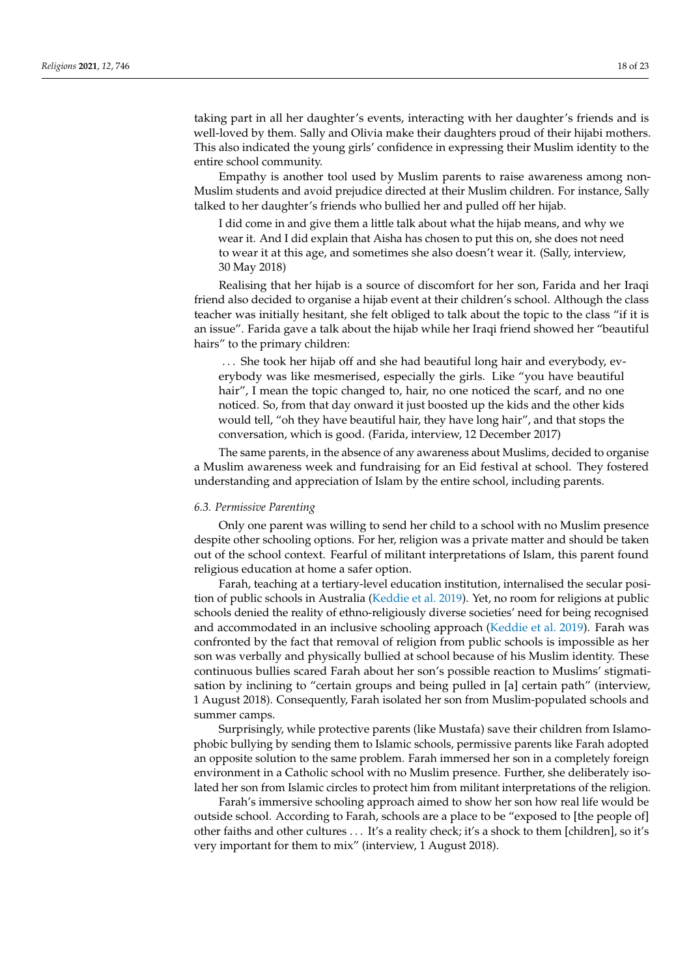taking part in all her daughter's events, interacting with her daughter's friends and is well-loved by them. Sally and Olivia make their daughters proud of their hijabi mothers. This also indicated the young girls' confidence in expressing their Muslim identity to the entire school community.

Empathy is another tool used by Muslim parents to raise awareness among non-Muslim students and avoid prejudice directed at their Muslim children. For instance, Sally talked to her daughter's friends who bullied her and pulled off her hijab.

I did come in and give them a little talk about what the hijab means, and why we wear it. And I did explain that Aisha has chosen to put this on, she does not need to wear it at this age, and sometimes she also doesn't wear it. (Sally, interview, 30 May 2018)

Realising that her hijab is a source of discomfort for her son, Farida and her Iraqi friend also decided to organise a hijab event at their children's school. Although the class teacher was initially hesitant, she felt obliged to talk about the topic to the class "if it is an issue". Farida gave a talk about the hijab while her Iraqi friend showed her "beautiful hairs" to the primary children:

... She took her hijab off and she had beautiful long hair and everybody, everybody was like mesmerised, especially the girls. Like "you have beautiful hair", I mean the topic changed to, hair, no one noticed the scarf, and no one noticed. So, from that day onward it just boosted up the kids and the other kids would tell, "oh they have beautiful hair, they have long hair", and that stops the conversation, which is good. (Farida, interview, 12 December 2017)

The same parents, in the absence of any awareness about Muslims, decided to organise a Muslim awareness week and fundraising for an Eid festival at school. They fostered understanding and appreciation of Islam by the entire school, including parents.

#### *6.3. Permissive Parenting*

Only one parent was willing to send her child to a school with no Muslim presence despite other schooling options. For her, religion was a private matter and should be taken out of the school context. Fearful of militant interpretations of Islam, this parent found religious education at home a safer option.

Farah, teaching at a tertiary-level education institution, internalised the secular position of public schools in Australia [\(Keddie et al.](#page-21-13) [2019\)](#page-21-13). Yet, no room for religions at public schools denied the reality of ethno-religiously diverse societies' need for being recognised and accommodated in an inclusive schooling approach [\(Keddie et al.](#page-21-13) [2019\)](#page-21-13). Farah was confronted by the fact that removal of religion from public schools is impossible as her son was verbally and physically bullied at school because of his Muslim identity. These continuous bullies scared Farah about her son's possible reaction to Muslims' stigmatisation by inclining to "certain groups and being pulled in [a] certain path" (interview, 1 August 2018). Consequently, Farah isolated her son from Muslim-populated schools and summer camps.

Surprisingly, while protective parents (like Mustafa) save their children from Islamophobic bullying by sending them to Islamic schools, permissive parents like Farah adopted an opposite solution to the same problem. Farah immersed her son in a completely foreign environment in a Catholic school with no Muslim presence. Further, she deliberately isolated her son from Islamic circles to protect him from militant interpretations of the religion.

Farah's immersive schooling approach aimed to show her son how real life would be outside school. According to Farah, schools are a place to be "exposed to [the people of] other faiths and other cultures . . . It's a reality check; it's a shock to them [children], so it's very important for them to mix" (interview, 1 August 2018).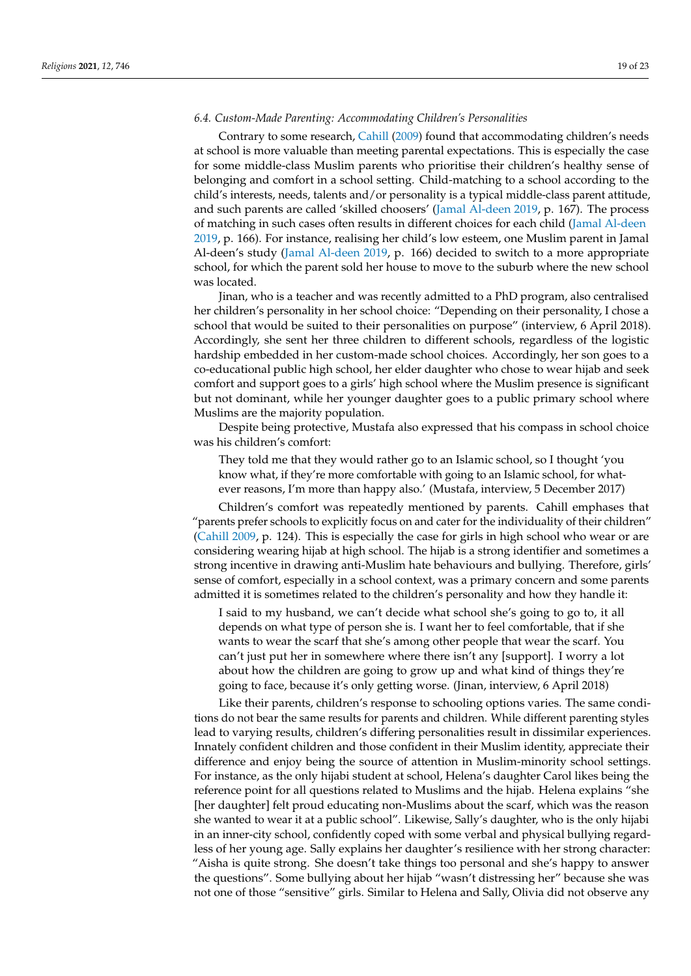## *6.4. Custom-Made Parenting: Accommodating Children's Personalities*

Contrary to some research, [Cahill](#page-21-25) [\(2009\)](#page-21-25) found that accommodating children's needs at school is more valuable than meeting parental expectations. This is especially the case for some middle-class Muslim parents who prioritise their children's healthy sense of belonging and comfort in a school setting. Child-matching to a school according to the child's interests, needs, talents and/or personality is a typical middle-class parent attitude, and such parents are called 'skilled choosers' [\(Jamal Al-deen](#page-21-2) [2019,](#page-21-2) p. 167). The process of matching in such cases often results in different choices for each child [\(Jamal Al-deen](#page-21-2) [2019,](#page-21-2) p. 166). For instance, realising her child's low esteem, one Muslim parent in Jamal Al-deen's study [\(Jamal Al-deen](#page-21-2) [2019,](#page-21-2) p. 166) decided to switch to a more appropriate school, for which the parent sold her house to move to the suburb where the new school was located.

Jinan, who is a teacher and was recently admitted to a PhD program, also centralised her children's personality in her school choice: "Depending on their personality, I chose a school that would be suited to their personalities on purpose" (interview, 6 April 2018). Accordingly, she sent her three children to different schools, regardless of the logistic hardship embedded in her custom-made school choices. Accordingly, her son goes to a co-educational public high school, her elder daughter who chose to wear hijab and seek comfort and support goes to a girls' high school where the Muslim presence is significant but not dominant, while her younger daughter goes to a public primary school where Muslims are the majority population.

Despite being protective, Mustafa also expressed that his compass in school choice was his children's comfort:

They told me that they would rather go to an Islamic school, so I thought 'you know what, if they're more comfortable with going to an Islamic school, for whatever reasons, I'm more than happy also.' (Mustafa, interview, 5 December 2017)

Children's comfort was repeatedly mentioned by parents. Cahill emphases that "parents prefer schools to explicitly focus on and cater for the individuality of their children" [\(Cahill](#page-21-25) [2009,](#page-21-25) p. 124). This is especially the case for girls in high school who wear or are considering wearing hijab at high school. The hijab is a strong identifier and sometimes a strong incentive in drawing anti-Muslim hate behaviours and bullying. Therefore, girls' sense of comfort, especially in a school context, was a primary concern and some parents admitted it is sometimes related to the children's personality and how they handle it:

I said to my husband, we can't decide what school she's going to go to, it all depends on what type of person she is. I want her to feel comfortable, that if she wants to wear the scarf that she's among other people that wear the scarf. You can't just put her in somewhere where there isn't any [support]. I worry a lot about how the children are going to grow up and what kind of things they're going to face, because it's only getting worse. (Jinan, interview, 6 April 2018)

Like their parents, children's response to schooling options varies. The same conditions do not bear the same results for parents and children. While different parenting styles lead to varying results, children's differing personalities result in dissimilar experiences. Innately confident children and those confident in their Muslim identity, appreciate their difference and enjoy being the source of attention in Muslim-minority school settings. For instance, as the only hijabi student at school, Helena's daughter Carol likes being the reference point for all questions related to Muslims and the hijab. Helena explains "she [her daughter] felt proud educating non-Muslims about the scarf, which was the reason she wanted to wear it at a public school". Likewise, Sally's daughter, who is the only hijabi in an inner-city school, confidently coped with some verbal and physical bullying regardless of her young age. Sally explains her daughter's resilience with her strong character: "Aisha is quite strong. She doesn't take things too personal and she's happy to answer the questions". Some bullying about her hijab "wasn't distressing her" because she was not one of those "sensitive" girls. Similar to Helena and Sally, Olivia did not observe any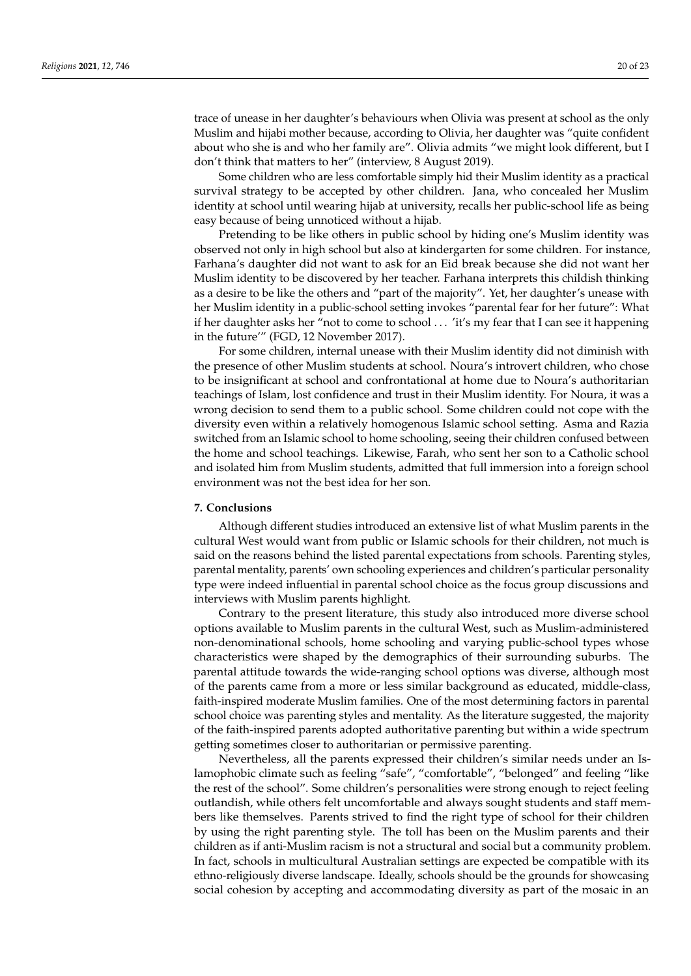trace of unease in her daughter's behaviours when Olivia was present at school as the only Muslim and hijabi mother because, according to Olivia, her daughter was "quite confident about who she is and who her family are". Olivia admits "we might look different, but I don't think that matters to her" (interview, 8 August 2019).

Some children who are less comfortable simply hid their Muslim identity as a practical survival strategy to be accepted by other children. Jana, who concealed her Muslim identity at school until wearing hijab at university, recalls her public-school life as being easy because of being unnoticed without a hijab.

Pretending to be like others in public school by hiding one's Muslim identity was observed not only in high school but also at kindergarten for some children. For instance, Farhana's daughter did not want to ask for an Eid break because she did not want her Muslim identity to be discovered by her teacher. Farhana interprets this childish thinking as a desire to be like the others and "part of the majority". Yet, her daughter's unease with her Muslim identity in a public-school setting invokes "parental fear for her future": What if her daughter asks her "not to come to school . . . 'it's my fear that I can see it happening in the future'" (FGD, 12 November 2017).

For some children, internal unease with their Muslim identity did not diminish with the presence of other Muslim students at school. Noura's introvert children, who chose to be insignificant at school and confrontational at home due to Noura's authoritarian teachings of Islam, lost confidence and trust in their Muslim identity. For Noura, it was a wrong decision to send them to a public school. Some children could not cope with the diversity even within a relatively homogenous Islamic school setting. Asma and Razia switched from an Islamic school to home schooling, seeing their children confused between the home and school teachings. Likewise, Farah, who sent her son to a Catholic school and isolated him from Muslim students, admitted that full immersion into a foreign school environment was not the best idea for her son.

## **7. Conclusions**

Although different studies introduced an extensive list of what Muslim parents in the cultural West would want from public or Islamic schools for their children, not much is said on the reasons behind the listed parental expectations from schools. Parenting styles, parental mentality, parents' own schooling experiences and children's particular personality type were indeed influential in parental school choice as the focus group discussions and interviews with Muslim parents highlight.

Contrary to the present literature, this study also introduced more diverse school options available to Muslim parents in the cultural West, such as Muslim-administered non-denominational schools, home schooling and varying public-school types whose characteristics were shaped by the demographics of their surrounding suburbs. The parental attitude towards the wide-ranging school options was diverse, although most of the parents came from a more or less similar background as educated, middle-class, faith-inspired moderate Muslim families. One of the most determining factors in parental school choice was parenting styles and mentality. As the literature suggested, the majority of the faith-inspired parents adopted authoritative parenting but within a wide spectrum getting sometimes closer to authoritarian or permissive parenting.

Nevertheless, all the parents expressed their children's similar needs under an Islamophobic climate such as feeling "safe", "comfortable", "belonged" and feeling "like the rest of the school". Some children's personalities were strong enough to reject feeling outlandish, while others felt uncomfortable and always sought students and staff members like themselves. Parents strived to find the right type of school for their children by using the right parenting style. The toll has been on the Muslim parents and their children as if anti-Muslim racism is not a structural and social but a community problem. In fact, schools in multicultural Australian settings are expected be compatible with its ethno-religiously diverse landscape. Ideally, schools should be the grounds for showcasing social cohesion by accepting and accommodating diversity as part of the mosaic in an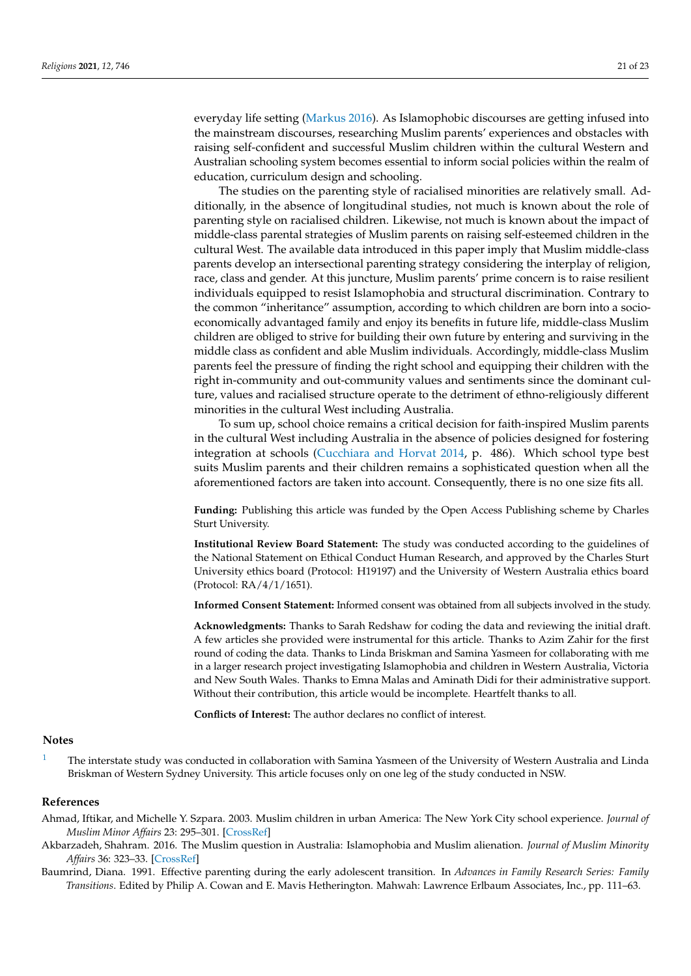everyday life setting [\(Markus](#page-21-29) [2016\)](#page-21-29). As Islamophobic discourses are getting infused into the mainstream discourses, researching Muslim parents' experiences and obstacles with raising self-confident and successful Muslim children within the cultural Western and Australian schooling system becomes essential to inform social policies within the realm of education, curriculum design and schooling.

The studies on the parenting style of racialised minorities are relatively small. Additionally, in the absence of longitudinal studies, not much is known about the role of parenting style on racialised children. Likewise, not much is known about the impact of middle-class parental strategies of Muslim parents on raising self-esteemed children in the cultural West. The available data introduced in this paper imply that Muslim middle-class parents develop an intersectional parenting strategy considering the interplay of religion, race, class and gender. At this juncture, Muslim parents' prime concern is to raise resilient individuals equipped to resist Islamophobia and structural discrimination. Contrary to the common "inheritance" assumption, according to which children are born into a socioeconomically advantaged family and enjoy its benefits in future life, middle-class Muslim children are obliged to strive for building their own future by entering and surviving in the middle class as confident and able Muslim individuals. Accordingly, middle-class Muslim parents feel the pressure of finding the right school and equipping their children with the right in-community and out-community values and sentiments since the dominant culture, values and racialised structure operate to the detriment of ethno-religiously different minorities in the cultural West including Australia.

To sum up, school choice remains a critical decision for faith-inspired Muslim parents in the cultural West including Australia in the absence of policies designed for fostering integration at schools [\(Cucchiara and Horvat](#page-21-14) [2014,](#page-21-14) p. 486). Which school type best suits Muslim parents and their children remains a sophisticated question when all the aforementioned factors are taken into account. Consequently, there is no one size fits all.

**Funding:** Publishing this article was funded by the Open Access Publishing scheme by Charles Sturt University.

**Institutional Review Board Statement:** The study was conducted according to the guidelines of the National Statement on Ethical Conduct Human Research, and approved by the Charles Sturt University ethics board (Protocol: H19197) and the University of Western Australia ethics board (Protocol: RA/4/1/1651).

**Informed Consent Statement:** Informed consent was obtained from all subjects involved in the study.

**Acknowledgments:** Thanks to Sarah Redshaw for coding the data and reviewing the initial draft. A few articles she provided were instrumental for this article. Thanks to Azim Zahir for the first round of coding the data. Thanks to Linda Briskman and Samina Yasmeen for collaborating with me in a larger research project investigating Islamophobia and children in Western Australia, Victoria and New South Wales. Thanks to Emna Malas and Aminath Didi for their administrative support. Without their contribution, this article would be incomplete. Heartfelt thanks to all.

**Conflicts of Interest:** The author declares no conflict of interest.

#### **Notes**

<span id="page-20-3"></span>[1](#page-4-1) The interstate study was conducted in collaboration with Samina Yasmeen of the University of Western Australia and Linda Briskman of Western Sydney University. This article focuses only on one leg of the study conducted in NSW.

#### **References**

- <span id="page-20-1"></span>Ahmad, Iftikar, and Michelle Y. Szpara. 2003. Muslim children in urban America: The New York City school experience. *Journal of Muslim Minor Affairs* 23: 295–301. [\[CrossRef\]](http://doi.org/10.1080/1360200032000139938)
- <span id="page-20-0"></span>Akbarzadeh, Shahram. 2016. The Muslim question in Australia: Islamophobia and Muslim alienation. *Journal of Muslim Minority Affairs* 36: 323–33. [\[CrossRef\]](http://doi.org/10.1080/13602004.2016.1212493)
- <span id="page-20-2"></span>Baumrind, Diana. 1991. Effective parenting during the early adolescent transition. In *Advances in Family Research Series: Family Transitions*. Edited by Philip A. Cowan and E. Mavis Hetherington. Mahwah: Lawrence Erlbaum Associates, Inc., pp. 111–63.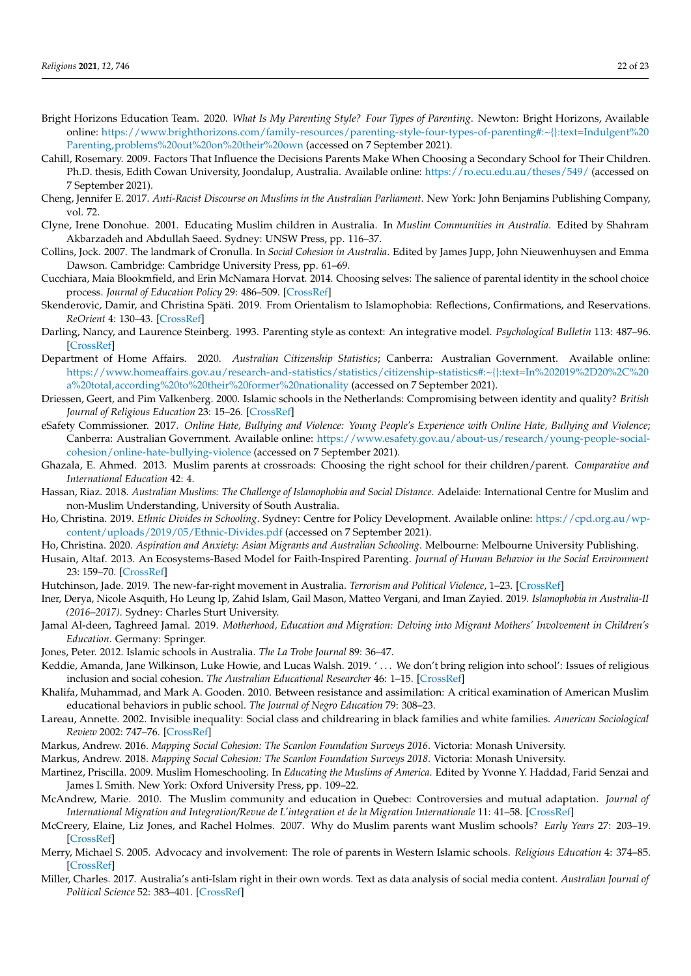- <span id="page-21-27"></span>Bright Horizons Education Team. 2020. *What Is My Parenting Style? Four Types of Parenting*. Newton: Bright Horizons, Available online: [https://www.brighthorizons.com/family-resources/parenting-style-four-types-of-parenting#:~{}:text=Indulgent%20](https://www.brighthorizons.com/family-resources/parenting-style-four-types-of-parenting#:~{}:text=Indulgent%20Parenting,problems%20out%20on%20their%20own) [Parenting,problems%20out%20on%20their%20own](https://www.brighthorizons.com/family-resources/parenting-style-four-types-of-parenting#:~{}:text=Indulgent%20Parenting,problems%20out%20on%20their%20own) (accessed on 7 September 2021).
- <span id="page-21-25"></span>Cahill, Rosemary. 2009. Factors That Influence the Decisions Parents Make When Choosing a Secondary School for Their Children. Ph.D. thesis, Edith Cowan University, Joondalup, Australia. Available online: <https://ro.ecu.edu.au/theses/549/> (accessed on 7 September 2021).
- <span id="page-21-7"></span>Cheng, Jennifer E. 2017. *Anti-Racist Discourse on Muslims in the Australian Parliament*. New York: John Benjamins Publishing Company, vol. 72.
- <span id="page-21-19"></span>Clyne, Irene Donohue. 2001. Educating Muslim children in Australia. In *Muslim Communities in Australia*. Edited by Shahram Akbarzadeh and Abdullah Saeed. Sydney: UNSW Press, pp. 116–37.
- <span id="page-21-6"></span>Collins, Jock. 2007. The landmark of Cronulla. In *Social Cohesion in Australia*. Edited by James Jupp, John Nieuwenhuysen and Emma Dawson. Cambridge: Cambridge University Press, pp. 61–69.
- <span id="page-21-14"></span>Cucchiara, Maia Blookmfield, and Erin McNamara Horvat. 2014. Choosing selves: The salience of parental identity in the school choice process. *Journal of Education Policy* 29: 486–509. [\[CrossRef\]](http://doi.org/10.1080/02680939.2013.849760)
- <span id="page-21-10"></span>Skenderovic, Damir, and Christina Späti. 2019. From Orientalism to Islamophobia: Reflections, Confirmations, and Reservations. *ReOrient* 4: 130–43. [\[CrossRef\]](http://doi.org/10.13169/reorient.4.2.0130)
- <span id="page-21-21"></span>Darling, Nancy, and Laurence Steinberg. 1993. Parenting style as context: An integrative model. *Psychological Bulletin* 113: 487–96. [\[CrossRef\]](http://doi.org/10.1037/0033-2909.113.3.487)
- <span id="page-21-3"></span>Department of Home Affairs. 2020. *Australian Citizenship Statistics*; Canberra: Australian Government. Available online: [https://www.homeaffairs.gov.au/research-and-statistics/statistics/citizenship-statistics#:~{}:text=In%202019%2D20%2C%20](https://www.homeaffairs.gov.au/research-and-statistics/statistics/citizenship-statistics#:~{}:text=In%202019%2D20%2C%20a%20total,according%20to%20their%20former%20nationality) [a%20total,according%20to%20their%20former%20nationality](https://www.homeaffairs.gov.au/research-and-statistics/statistics/citizenship-statistics#:~{}:text=In%202019%2D20%2C%20a%20total,according%20to%20their%20former%20nationality) (accessed on 7 September 2021).
- <span id="page-21-28"></span>Driessen, Geert, and Pim Valkenberg. 2000. Islamic schools in the Netherlands: Compromising between identity and quality? *British Journal of Religious Education* 23: 15–26. [\[CrossRef\]](http://doi.org/10.1080/0141620000230103)
- <span id="page-21-12"></span>eSafety Commissioner. 2017. *Online Hate, Bullying and Violence: Young People's Experience with Online Hate, Bullying and Violence*; Canberra: Australian Government. Available online: [https://www.esafety.gov.au/about-us/research/young-people-social](https://www.esafety.gov.au/about-us/research/young-people-social-cohesion/online-hate-bullying-violence)[cohesion/online-hate-bullying-violence](https://www.esafety.gov.au/about-us/research/young-people-social-cohesion/online-hate-bullying-violence) (accessed on 7 September 2021).
- <span id="page-21-18"></span>Ghazala, E. Ahmed. 2013. Muslim parents at crossroads: Choosing the right school for their children/parent. *Comparative and International Education* 42: 4.
- <span id="page-21-4"></span>Hassan, Riaz. 2018. *Australian Muslims: The Challenge of Islamophobia and Social Distance*. Adelaide: International Centre for Muslim and non-Muslim Understanding, University of South Australia.
- <span id="page-21-24"></span>Ho, Christina. 2019. *Ethnic Divides in Schooling*. Sydney: Centre for Policy Development. Available online: [https://cpd.org.au/wp](https://cpd.org.au/wp-content/uploads/2019/05/Ethnic-Divides.pdf)[content/uploads/2019/05/Ethnic-Divides.pdf](https://cpd.org.au/wp-content/uploads/2019/05/Ethnic-Divides.pdf) (accessed on 7 September 2021).
- <span id="page-21-1"></span><span id="page-21-0"></span>Ho, Christina. 2020. *Aspiration and Anxiety: Asian Migrants and Australian Schooling*. Melbourne: Melbourne University Publishing.
- Husain, Altaf. 2013. An Ecosystems-Based Model for Faith-Inspired Parenting. *Journal of Human Behavior in the Social Environment* 23: 159–70. [\[CrossRef\]](http://doi.org/10.1080/10911359.2013.747358)
- <span id="page-21-9"></span>Hutchinson, Jade. 2019. The new-far-right movement in Australia. *Terrorism and Political Violence*, 1–23. [\[CrossRef\]](http://doi.org/10.1080/09546553.2019.1629909)
- <span id="page-21-11"></span>Iner, Derya, Nicole Asquith, Ho Leung Ip, Zahid Islam, Gail Mason, Matteo Vergani, and Iman Zayied. 2019. *Islamophobia in Australia-II (2016–2017)*. Sydney: Charles Sturt University.
- <span id="page-21-2"></span>Jamal Al-deen, Taghreed Jamal. 2019. *Motherhood, Education and Migration: Delving into Migrant Mothers' Involvement in Children's Education*. Germany: Springer.
- <span id="page-21-23"></span>Jones, Peter. 2012. Islamic schools in Australia. *The La Trobe Journal* 89: 36–47.
- <span id="page-21-13"></span>Keddie, Amanda, Jane Wilkinson, Luke Howie, and Lucas Walsh. 2019. ' . . . We don't bring religion into school': Issues of religious inclusion and social cohesion. *The Australian Educational Researcher* 46: 1–15. [\[CrossRef\]](http://doi.org/10.1007/s13384-018-0289-4)
- <span id="page-21-17"></span>Khalifa, Muhammad, and Mark A. Gooden. 2010. Between resistance and assimilation: A critical examination of American Muslim educational behaviors in public school. *The Journal of Negro Education* 79: 308–23.
- <span id="page-21-15"></span>Lareau, Annette. 2002. Invisible inequality: Social class and childrearing in black families and white families. *American Sociological Review* 2002: 747–76. [\[CrossRef\]](http://doi.org/10.2307/3088916)
- <span id="page-21-29"></span>Markus, Andrew. 2016. *Mapping Social Cohesion: The Scanlon Foundation Surveys 2016*. Victoria: Monash University.
- <span id="page-21-5"></span>Markus, Andrew. 2018. *Mapping Social Cohesion: The Scanlon Foundation Surveys 2018*. Victoria: Monash University.
- <span id="page-21-26"></span>Martinez, Priscilla. 2009. Muslim Homeschooling. In *Educating the Muslims of America*. Edited by Yvonne Y. Haddad, Farid Senzai and James I. Smith. New York: Oxford University Press, pp. 109–22.
- <span id="page-21-20"></span>McAndrew, Marie. 2010. The Muslim community and education in Quebec: Controversies and mutual adaptation. *Journal of International Migration and Integration/Revue de L'integration et de la Migration Internationale* 11: 41–58. [\[CrossRef\]](http://doi.org/10.1007/s12134-009-0124-x)
- <span id="page-21-22"></span>McCreery, Elaine, Liz Jones, and Rachel Holmes. 2007. Why do Muslim parents want Muslim schools? *Early Years* 27: 203–19. [\[CrossRef\]](http://doi.org/10.1080/09575140701594350)
- <span id="page-21-16"></span>Merry, Michael S. 2005. Advocacy and involvement: The role of parents in Western Islamic schools. *Religious Education* 4: 374–85. [\[CrossRef\]](http://doi.org/10.1080/00344080500308512)
- <span id="page-21-8"></span>Miller, Charles. 2017. Australia's anti-Islam right in their own words. Text as data analysis of social media content. *Australian Journal of Political Science* 52: 383–401. [\[CrossRef\]](http://doi.org/10.1080/10361146.2017.1324561)